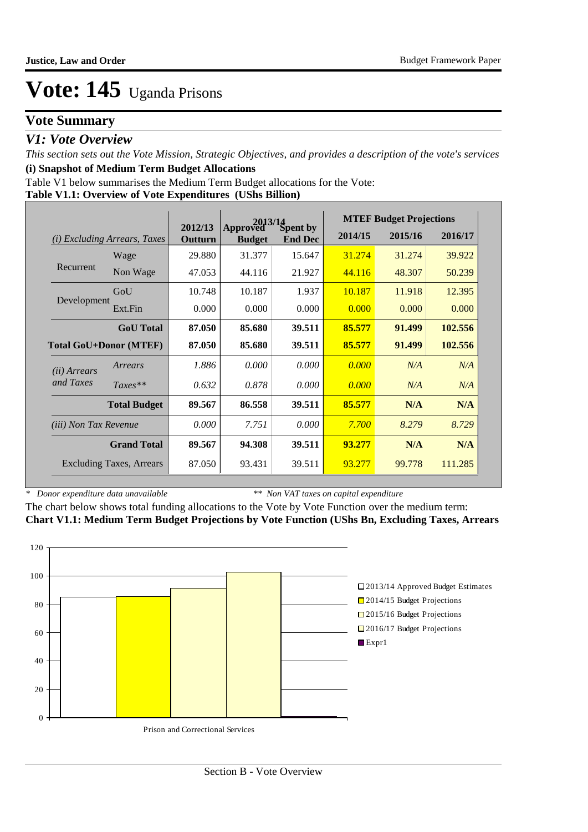### **Vote Summary**

### *V1: Vote Overview*

*This section sets out the Vote Mission, Strategic Objectives, and provides a description of the vote's services* **(i) Snapshot of Medium Term Budget Allocations** 

Table V1 below summarises the Medium Term Budget allocations for the Vote:

#### **Table V1.1: Overview of Vote Expenditures (UShs Billion)**

|                               |                                 |                    | 2013/14                   |                            |         | <b>MTEF Budget Projections</b> |         |
|-------------------------------|---------------------------------|--------------------|---------------------------|----------------------------|---------|--------------------------------|---------|
| (i)                           | <b>Excluding Arrears, Taxes</b> | 2012/13<br>Outturn | Approved<br><b>Budget</b> | Spent by<br><b>End Dec</b> | 2014/15 | 2015/16                        | 2016/17 |
|                               | Wage                            | 29.880             | 31.377                    | 15.647                     | 31.274  | 31.274                         | 39.922  |
| Recurrent                     | Non Wage                        | 47.053             | 44.116                    | 21.927                     | 44.116  | 48.307                         | 50.239  |
|                               | GoU                             | 10.748             | 10.187                    | 1.937                      | 10.187  | 11.918                         | 12.395  |
| Development                   | Ext.Fin                         | 0.000              | 0.000                     | 0.000                      | 0.000   | 0.000                          | 0.000   |
|                               | <b>GoU</b> Total                | 87.050             | 85.680                    | 39.511                     | 85.577  | 91.499                         | 102.556 |
| <b>Total GoU+Donor (MTEF)</b> |                                 | 87.050             | 85.680                    | 39.511                     | 85.577  | 91.499                         | 102.556 |
| (ii) Arrears                  | Arrears                         | 1.886              | 0.000                     | 0.000                      | 0.000   | N/A                            | N/A     |
| and Taxes                     | $Taxes**$                       | 0.632              | 0.878                     | 0.000                      | 0.000   | N/A                            | N/A     |
|                               | <b>Total Budget</b>             | 89.567             | 86.558                    | 39.511                     | 85.577  | N/A                            | N/A     |
| <i>(iii) Non Tax Revenue</i>  |                                 | 0.000              | 7.751                     | 0.000                      | 7.700   | 8.279                          | 8.729   |
|                               | <b>Grand Total</b>              | 89.567             | 94.308                    | 39.511                     | 93.277  | N/A                            | N/A     |
|                               | <b>Excluding Taxes, Arrears</b> | 87.050             | 93.431                    | 39.511                     | 93.277  | 99.778                         | 111.285 |

*\* Donor expenditure data unavailable*

*\*\* Non VAT taxes on capital expenditure*

The chart below shows total funding allocations to the Vote by Vote Function over the medium term: **Chart V1.1: Medium Term Budget Projections by Vote Function (UShs Bn, Excluding Taxes, Arrears**

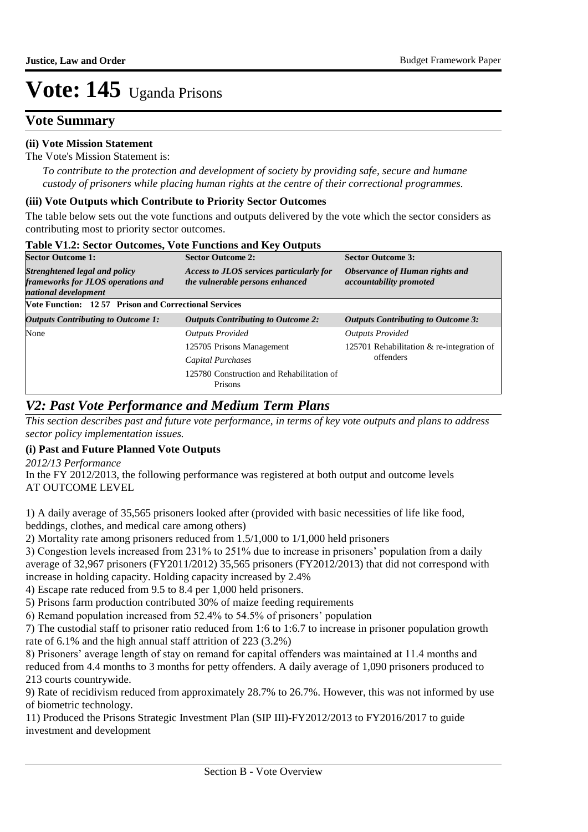### **Vote Summary**

#### **(ii) Vote Mission Statement**

The Vote's Mission Statement is:

*To contribute to the protection and development of society by providing safe, secure and humane custody of prisoners while placing human rights at the centre of their correctional programmes.*

#### **(iii) Vote Outputs which Contribute to Priority Sector Outcomes**

The table below sets out the vote functions and outputs delivered by the vote which the sector considers as contributing most to priority sector outcomes.

| <b>Sector Outcome 1:</b>                                                                           | <b>Sector Outcome 2:</b>                                                    | <b>Sector Outcome 3:</b><br>Observance of Human rights and<br>accountability promoted |  |  |  |
|----------------------------------------------------------------------------------------------------|-----------------------------------------------------------------------------|---------------------------------------------------------------------------------------|--|--|--|
| <b>Strenghtened legal and policy</b><br>frameworks for JLOS operations and<br>national development | Access to JLOS services particularly for<br>the vulnerable persons enhanced |                                                                                       |  |  |  |
| <b>Vote Function: 1257 Prison and Correctional Services</b>                                        |                                                                             |                                                                                       |  |  |  |
| <b>Outputs Contributing to Outcome 1:</b>                                                          | <b>Outputs Contributing to Outcome 2:</b>                                   | <b>Outputs Contributing to Outcome 3:</b>                                             |  |  |  |
| None                                                                                               | <b>Outputs Provided</b>                                                     | <b>Outputs Provided</b>                                                               |  |  |  |
|                                                                                                    | 125705 Prisons Management                                                   | 125701 Rehabilitation $&$ re-integration of                                           |  |  |  |
|                                                                                                    | Capital Purchases                                                           | offenders                                                                             |  |  |  |
|                                                                                                    | 125780 Construction and Rehabilitation of<br>Prisons                        |                                                                                       |  |  |  |

#### **Table V1.2: Sector Outcomes, Vote Functions and Key Outputs**

### *V2: Past Vote Performance and Medium Term Plans*

*This section describes past and future vote performance, in terms of key vote outputs and plans to address sector policy implementation issues.* 

#### **(i) Past and Future Planned Vote Outputs**

*2012/13 Performance*

In the FY 2012/2013, the following performance was registered at both output and outcome levels AT OUTCOME LEVEL

1) A daily average of 35,565 prisoners looked after (provided with basic necessities of life like food, beddings, clothes, and medical care among others)

2) Mortality rate among prisoners reduced from 1.5/1,000 to 1/1,000 held prisoners

3) Congestion levels increased from 231% to 251% due to increase in prisoners' population from a daily average of 32,967 prisoners (FY2011/2012) 35,565 prisoners (FY2012/2013) that did not correspond with increase in holding capacity. Holding capacity increased by 2.4%

4) Escape rate reduced from 9.5 to 8.4 per 1,000 held prisoners.

5) Prisons farm production contributed 30% of maize feeding requirements

6) Remand population increased from 52.4% to 54.5% of prisoners' population

7) The custodial staff to prisoner ratio reduced from 1:6 to 1:6.7 to increase in prisoner population growth rate of 6.1% and the high annual staff attrition of 223 (3.2%)

8) Prisoners' average length of stay on remand for capital offenders was maintained at 11.4 months and reduced from 4.4 months to 3 months for petty offenders. A daily average of 1,090 prisoners produced to 213 courts countrywide.

9) Rate of recidivism reduced from approximately 28.7% to 26.7%. However, this was not informed by use of biometric technology.

11) Produced the Prisons Strategic Investment Plan (SIP III)-FY2012/2013 to FY2016/2017 to guide investment and development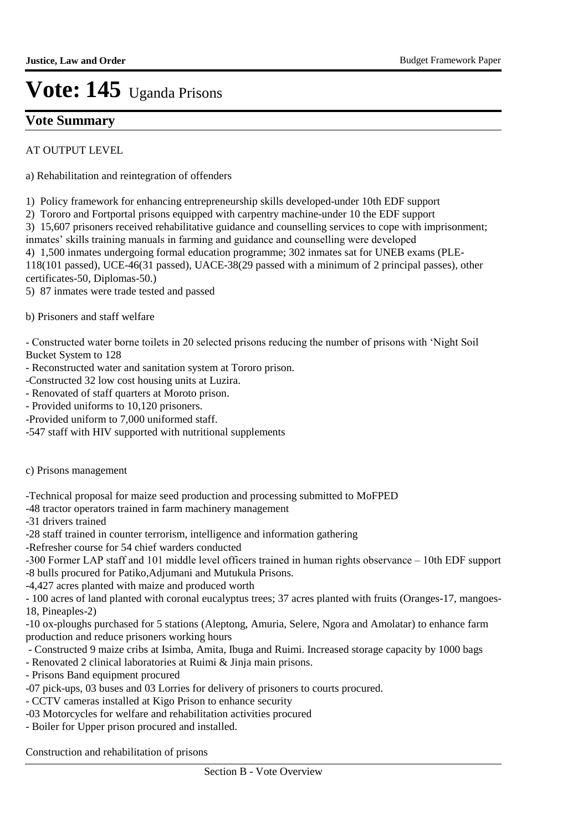### **Vote Summary**

AT OUTPUT LEVEL

a) Rehabilitation and reintegration of offenders

1) Policy framework for enhancing entrepreneurship skills developed-under 10th EDF support

2) Tororo and Fortportal prisons equipped with carpentry machine-under 10 the EDF support

3) 15,607 prisoners received rehabilitative guidance and counselling services to cope with imprisonment;

inmates' skills training manuals in farming and guidance and counselling were developed

4) 1,500 inmates undergoing formal education programme; 302 inmates sat for UNEB exams (PLE-118(101 passed), UCE-46(31 passed), UACE-38(29 passed with a minimum of 2 principal passes), other

certificates-50, Diplomas-50.)

5) 87 inmates were trade tested and passed

b) Prisoners and staff welfare

- Constructed water borne toilets in 20 selected prisons reducing the number of prisons with 'Night Soil Bucket System to 128

- Reconstructed water and sanitation system at Tororo prison.
- -Constructed 32 low cost housing units at Luzira.
- Renovated of staff quarters at Moroto prison.
- Provided uniforms to 10,120 prisoners.
- -Provided uniform to 7,000 uniformed staff.
- -547 staff with HIV supported with nutritional supplements
- c) Prisons management

-Technical proposal for maize seed production and processing submitted to MoFPED

- -48 tractor operators trained in farm machinery management
- -31 drivers trained
- -28 staff trained in counter terrorism, intelligence and information gathering
- -Refresher course for 54 chief warders conducted

-300 Former LAP staff and 101 middle level officers trained in human rights observance – 10th EDF support

- -8 bulls procured for Patiko,Adjumani and Mutukula Prisons.
- -4,427 acres planted with maize and produced worth

- 100 acres of land planted with coronal eucalyptus trees; 37 acres planted with fruits (Oranges-17, mangoes-18, Pineaples-2)

-10 ox-ploughs purchased for 5 stations (Aleptong, Amuria, Selere, Ngora and Amolatar) to enhance farm production and reduce prisoners working hours

- Constructed 9 maize cribs at Isimba, Amita, Ibuga and Ruimi. Increased storage capacity by 1000 bags
- Renovated 2 clinical laboratories at Ruimi & Jinja main prisons.
- Prisons Band equipment procured
- -07 pick-ups, 03 buses and 03 Lorries for delivery of prisoners to courts procured.
- CCTV cameras installed at Kigo Prison to enhance security
- -03 Motorcycles for welfare and rehabilitation activities procured
- Boiler for Upper prison procured and installed.

Construction and rehabilitation of prisons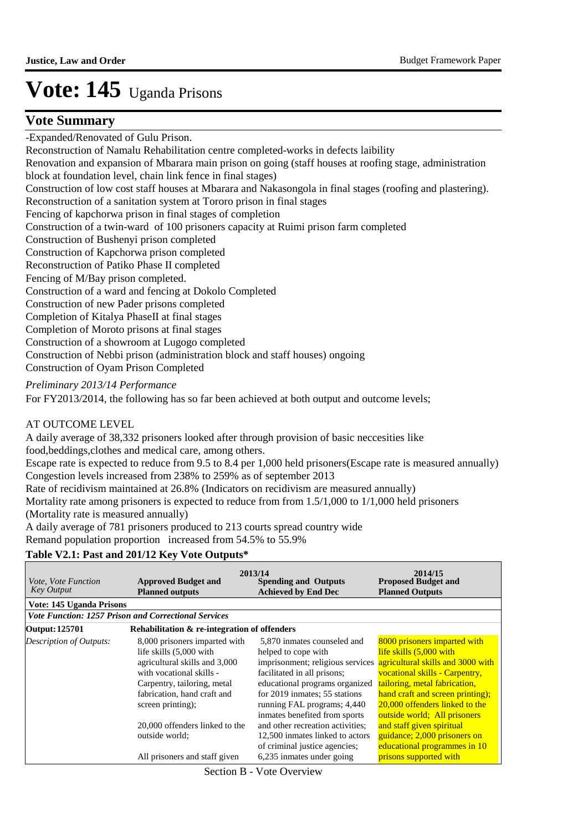### **Vote Summary**

-Expanded/Renovated of Gulu Prison. Reconstruction of Namalu Rehabilitation centre completed-works in defects laibility Renovation and expansion of Mbarara main prison on going (staff houses at roofing stage, administration block at foundation level, chain link fence in final stages) Construction of low cost staff houses at Mbarara and Nakasongola in final stages (roofing and plastering). Reconstruction of a sanitation system at Tororo prison in final stages Fencing of kapchorwa prison in final stages of completion Construction of a twin-ward of 100 prisoners capacity at Ruimi prison farm completed Construction of Bushenyi prison completed Construction of Kapchorwa prison completed Reconstruction of Patiko Phase II completed Fencing of M/Bay prison completed. Construction of a ward and fencing at Dokolo Completed Construction of new Pader prisons completed Completion of Kitalya PhaseII at final stages Completion of Moroto prisons at final stages Construction of a showroom at Lugogo completed Construction of Nebbi prison (administration block and staff houses) ongoing Construction of Oyam Prison Completed

#### *Preliminary 2013/14 Performance*

For FY2013/2014, the following has so far been achieved at both output and outcome levels;

#### AT OUTCOME LEVEL

A daily average of 38,332 prisoners looked after through provision of basic neccesities like food,beddings,clothes and medical care, among others.

Escape rate is expected to reduce from 9.5 to 8.4 per 1,000 held prisoners(Escape rate is measured annually) Congestion levels increased from 238% to 259% as of september 2013

Rate of recidivism maintained at 26.8% (Indicators on recidivism are measured annually)

Mortality rate among prisoners is expected to reduce from from 1.5/1,000 to 1/1,000 held prisoners (Mortality rate is measured annually)

A daily average of 781 prisoners produced to 213 courts spread country wide

Remand population proportion increased from 54.5% to 55.9%

#### **Table V2.1: Past and 201/12 Key Vote Outputs\***

| <i>Vote, Vote Function</i><br><b>Key Output</b> | <b>Approved Budget and</b><br><b>Planned outputs</b>                                                                                                                                                     | 2013/14<br><b>Proposed Budget and</b><br><b>Spending and Outputs</b><br><b>Planned Outputs</b><br><b>Achieved by End Dec</b>                                                                                                                                                               |                                                                                                                                                                                                                                  |
|-------------------------------------------------|----------------------------------------------------------------------------------------------------------------------------------------------------------------------------------------------------------|--------------------------------------------------------------------------------------------------------------------------------------------------------------------------------------------------------------------------------------------------------------------------------------------|----------------------------------------------------------------------------------------------------------------------------------------------------------------------------------------------------------------------------------|
| Vote: 145 Uganda Prisons                        |                                                                                                                                                                                                          |                                                                                                                                                                                                                                                                                            |                                                                                                                                                                                                                                  |
|                                                 | <b>Vote Function: 1257 Prison and Correctional Services</b>                                                                                                                                              |                                                                                                                                                                                                                                                                                            |                                                                                                                                                                                                                                  |
| <b>Output: 125701</b>                           | Rehabilitation & re-integration of offenders                                                                                                                                                             |                                                                                                                                                                                                                                                                                            |                                                                                                                                                                                                                                  |
| <b>Description of Outputs:</b>                  | 8,000 prisoners imparted with<br>life skills (5,000 with<br>agricultural skills and 3,000<br>with vocational skills -<br>Carpentry, tailoring, metal<br>fabrication, hand craft and<br>screen printing); | 5,870 inmates counseled and<br>helped to cope with<br>imprisonment; religious services agricultural skills and 3000 with<br>facilitated in all prisons;<br>educational programs organized<br>for 2019 inmates; 55 stations<br>running FAL programs; 4,440<br>inmates benefited from sports | 8000 prisoners imparted with<br>life skills (5,000 with<br>vocational skills - Carpentry,<br>tailoring, metal fabrication,<br>hand craft and screen printing);<br>20,000 offenders linked to the<br>outside world; All prisoners |
|                                                 | 20,000 offenders linked to the<br>outside world:<br>All prisoners and staff given                                                                                                                        | and other recreation activities;<br>12,500 inmates linked to actors<br>of criminal justice agencies;<br>6,235 inmates under going                                                                                                                                                          | and staff given spiritual<br>guidance; 2,000 prisoners on<br>educational programmes in 10<br>prisons supported with                                                                                                              |

Section B - Vote Overview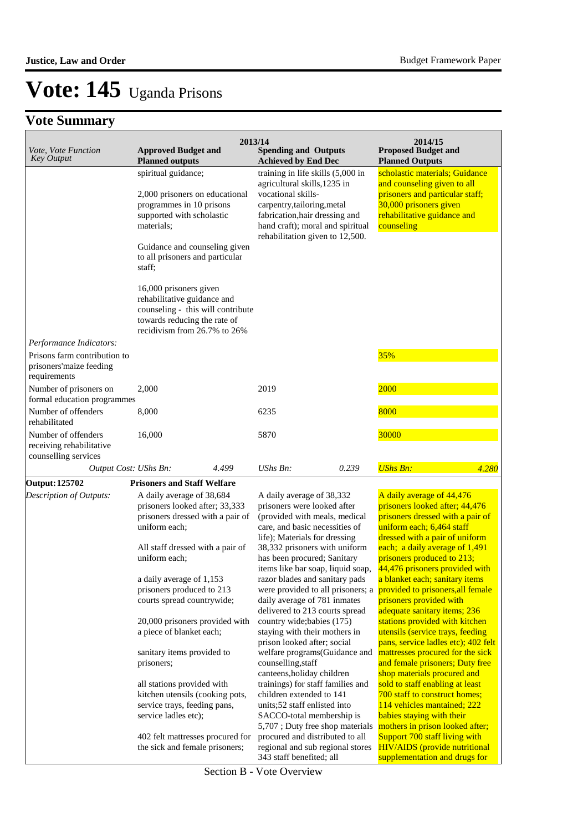### **Vote Summary**

| Vote, Vote Function<br><b>Approved Budget and</b><br><b>Key Output</b><br><b>Planned outputs</b> |                                                                                                                                                                                                   |                                                                                                                                                                                                                                                                                                     | 2013/14<br><b>Spending and Outputs</b><br><b>Achieved by End Dec</b>                                                                                                                         |       | 2014/15<br><b>Proposed Budget and</b><br><b>Planned Outputs</b>                                                                                                                                                                                                                                    |       |
|--------------------------------------------------------------------------------------------------|---------------------------------------------------------------------------------------------------------------------------------------------------------------------------------------------------|-----------------------------------------------------------------------------------------------------------------------------------------------------------------------------------------------------------------------------------------------------------------------------------------------------|----------------------------------------------------------------------------------------------------------------------------------------------------------------------------------------------|-------|----------------------------------------------------------------------------------------------------------------------------------------------------------------------------------------------------------------------------------------------------------------------------------------------------|-------|
|                                                                                                  | spiritual guidance;<br>2,000 prisoners on educational<br>programmes in 10 prisons<br>supported with scholastic<br>materials;                                                                      |                                                                                                                                                                                                                                                                                                     | training in life skills (5,000 in<br>agricultural skills, 1235 in<br>vocational skills-<br>carpentry, tailoring, metal<br>fabrication, hair dressing and<br>hand craft); moral and spiritual |       | scholastic materials; Guidance<br>and counseling given to all<br>prisoners and particular staff;<br>30,000 prisoners given<br>rehabilitative guidance and<br>counseling                                                                                                                            |       |
|                                                                                                  | Guidance and counseling given<br>to all prisoners and particular<br>staff;                                                                                                                        |                                                                                                                                                                                                                                                                                                     | rehabilitation given to 12,500.                                                                                                                                                              |       |                                                                                                                                                                                                                                                                                                    |       |
|                                                                                                  | 16,000 prisoners given<br>rehabilitative guidance and<br>counseling - this will contribute<br>towards reducing the rate of<br>recidivism from 26.7% to 26%                                        |                                                                                                                                                                                                                                                                                                     |                                                                                                                                                                                              |       |                                                                                                                                                                                                                                                                                                    |       |
| Performance Indicators:                                                                          |                                                                                                                                                                                                   |                                                                                                                                                                                                                                                                                                     |                                                                                                                                                                                              |       |                                                                                                                                                                                                                                                                                                    |       |
| Prisons farm contribution to<br>prisoners'maize feeding<br>requirements                          |                                                                                                                                                                                                   |                                                                                                                                                                                                                                                                                                     |                                                                                                                                                                                              |       | 35%                                                                                                                                                                                                                                                                                                |       |
| Number of prisoners on<br>formal education programmes                                            | 2.000                                                                                                                                                                                             |                                                                                                                                                                                                                                                                                                     | 2019                                                                                                                                                                                         |       | 2000                                                                                                                                                                                                                                                                                               |       |
| Number of offenders<br>rehabilitated                                                             | 8,000                                                                                                                                                                                             |                                                                                                                                                                                                                                                                                                     | 6235                                                                                                                                                                                         |       | 8000                                                                                                                                                                                                                                                                                               |       |
| Number of offenders<br>receiving rehabilitative<br>counselling services                          | 16,000                                                                                                                                                                                            |                                                                                                                                                                                                                                                                                                     | 5870                                                                                                                                                                                         |       | 30000                                                                                                                                                                                                                                                                                              |       |
| Output Cost: UShs Bn:                                                                            |                                                                                                                                                                                                   | 4.499                                                                                                                                                                                                                                                                                               | $UShs Bn$ :                                                                                                                                                                                  | 0.239 | <b>UShs Bn:</b>                                                                                                                                                                                                                                                                                    | 4.280 |
| <b>Output: 125702</b>                                                                            | <b>Prisoners and Staff Welfare</b>                                                                                                                                                                |                                                                                                                                                                                                                                                                                                     |                                                                                                                                                                                              |       |                                                                                                                                                                                                                                                                                                    |       |
| Description of Outputs:                                                                          | A daily average of 38,684<br>prisoners looked after; 33,333<br>prisoners dressed with a pair of<br>uniform each;<br>All staff dressed with a pair of<br>uniform each;<br>a daily average of 1,153 | A daily average of 38,332<br>prisoners were looked after<br>(provided with meals, medical<br>care, and basic necessities of<br>life); Materials for dressing<br>38,332 prisoners with uniform<br>has been procured; Sanitary<br>items like bar soap, liquid soap,<br>razor blades and sanitary pads |                                                                                                                                                                                              |       | A daily average of 44,476<br>prisoners looked after; 44,476<br>prisoners dressed with a pair of<br>uniform each; 6,464 staff<br>dressed with a pair of uniform<br>each; a daily average of 1,491<br>prisoners produced to 213;<br>44,476 prisoners provided with<br>a blanket each; sanitary items |       |
|                                                                                                  | prisoners produced to 213<br>courts spread countrywide;                                                                                                                                           |                                                                                                                                                                                                                                                                                                     | were provided to all prisoners; a<br>daily average of 781 inmates<br>delivered to 213 courts spread                                                                                          |       | provided to prisoners, all female<br>prisoners provided with<br>adequate sanitary items; 236                                                                                                                                                                                                       |       |
|                                                                                                  | 20,000 prisoners provided with<br>a piece of blanket each;                                                                                                                                        |                                                                                                                                                                                                                                                                                                     | country wide; babies (175)<br>staying with their mothers in<br>prison looked after; social                                                                                                   |       | stations provided with kitchen<br>utensils (service trays, feeding<br>pans, service ladles etc); 402 felt                                                                                                                                                                                          |       |
|                                                                                                  | sanitary items provided to<br>prisoners;                                                                                                                                                          |                                                                                                                                                                                                                                                                                                     | welfare programs(Guidance and<br>counselling, staff<br>canteens, holiday children                                                                                                            |       | mattresses procured for the sick<br>and female prisoners; Duty free<br>shop materials procured and                                                                                                                                                                                                 |       |

all stations provided with kitchen utensils (cooking pots, service trays, feeding pans, service ladles etc);

402 felt mattresses procured for the sick and female prisoners;

343 staff benefited; all Section B - Vote Overview

trainings) for staff families and children extended to 141 units;52 staff enlisted into SACCO-total membership is 5,707 ; Duty free shop materials procured and distributed to all regional and sub regional stores

shop materials procured and sold to staff enabling at least 700 staff to construct homes; 114 vehicles mantained; 222 babies staying with their mothers in prison looked after; Support 700 staff living with HIV/AIDS (provide nutritional supplementation and drugs for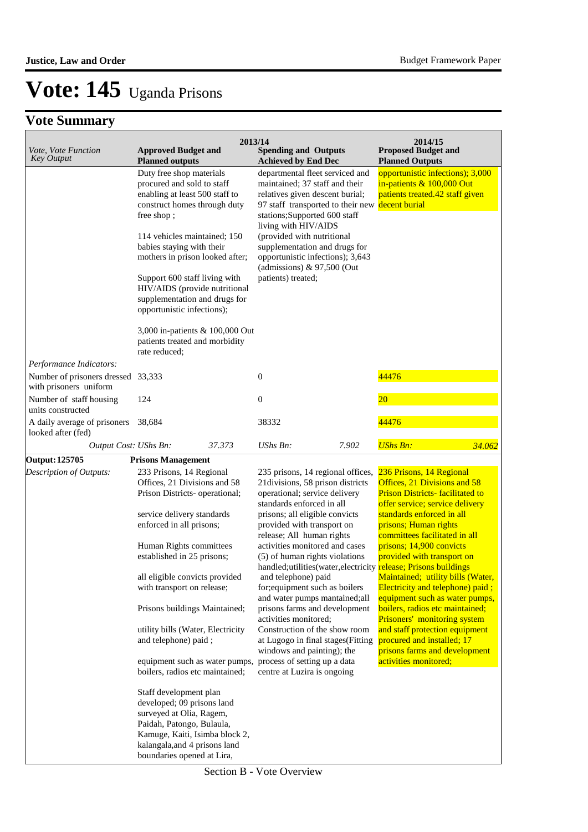| <i>Vote, Vote Function</i>                                   | 2013/14<br><b>Approved Budget and</b>                                                                                                                                                                                                                                                                                                                                                                      | <b>Spending and Outputs</b>                                                                                                                                                                                                                                                                                                                                 | 2014/15<br><b>Proposed Budget and</b>                                                                                                                              |  |  |
|--------------------------------------------------------------|------------------------------------------------------------------------------------------------------------------------------------------------------------------------------------------------------------------------------------------------------------------------------------------------------------------------------------------------------------------------------------------------------------|-------------------------------------------------------------------------------------------------------------------------------------------------------------------------------------------------------------------------------------------------------------------------------------------------------------------------------------------------------------|--------------------------------------------------------------------------------------------------------------------------------------------------------------------|--|--|
| <b>Key Output</b>                                            | <b>Planned outputs</b>                                                                                                                                                                                                                                                                                                                                                                                     | <b>Achieved by End Dec</b>                                                                                                                                                                                                                                                                                                                                  | <b>Planned Outputs</b>                                                                                                                                             |  |  |
|                                                              | Duty free shop materials<br>procured and sold to staff<br>enabling at least 500 staff to<br>construct homes through duty<br>free shop;<br>114 vehicles maintained; 150<br>babies staying with their<br>mothers in prison looked after;<br>Support 600 staff living with<br>HIV/AIDS (provide nutritional<br>supplementation and drugs for<br>opportunistic infections);<br>3,000 in-patients & 100,000 Out | departmental fleet serviced and<br>maintained; 37 staff and their<br>relatives given descent burial;<br>97 staff transported to their new<br>stations; Supported 600 staff<br>living with HIV/AIDS<br>(provided with nutritional<br>supplementation and drugs for<br>opportunistic infections); 3,643<br>(admissions) $& 97,500$ (Out<br>patients) treated; | opportunistic infections); 3,000<br>in-patients & 100,000 Out<br>patients treated.42 staff given<br>decent burial                                                  |  |  |
|                                                              | patients treated and morbidity<br>rate reduced;                                                                                                                                                                                                                                                                                                                                                            |                                                                                                                                                                                                                                                                                                                                                             |                                                                                                                                                                    |  |  |
| Performance Indicators:                                      |                                                                                                                                                                                                                                                                                                                                                                                                            |                                                                                                                                                                                                                                                                                                                                                             |                                                                                                                                                                    |  |  |
| Number of prisoners dressed 33,333<br>with prisoners uniform |                                                                                                                                                                                                                                                                                                                                                                                                            | $\mathbf{0}$                                                                                                                                                                                                                                                                                                                                                | 44476                                                                                                                                                              |  |  |
| Number of staff housing<br>units constructed                 | 124                                                                                                                                                                                                                                                                                                                                                                                                        | $\boldsymbol{0}$                                                                                                                                                                                                                                                                                                                                            | $\overline{20}$                                                                                                                                                    |  |  |
| A daily average of prisoners<br>looked after (fed)           | 38,684                                                                                                                                                                                                                                                                                                                                                                                                     | 38332                                                                                                                                                                                                                                                                                                                                                       | 44476                                                                                                                                                              |  |  |
| Output Cost: UShs Bn:                                        | 37.373                                                                                                                                                                                                                                                                                                                                                                                                     | UShs Bn:<br>7.902                                                                                                                                                                                                                                                                                                                                           | <b>UShs Bn:</b><br>34.062                                                                                                                                          |  |  |
| <b>Output: 125705</b>                                        | <b>Prisons Management</b>                                                                                                                                                                                                                                                                                                                                                                                  |                                                                                                                                                                                                                                                                                                                                                             |                                                                                                                                                                    |  |  |
| Description of Outputs:                                      | 233 Prisons, 14 Regional<br>Offices, 21 Divisions and 58<br>Prison Districts- operational;<br>service delivery standards                                                                                                                                                                                                                                                                                   | 235 prisons, 14 regional offices,<br>21divisions, 58 prison districts<br>operational; service delivery<br>standards enforced in all<br>prisons; all eligible convicts                                                                                                                                                                                       | 236 Prisons, 14 Regional<br>Offices, 21 Divisions and 58<br><b>Prison Districts-facilitated to</b><br>offer service; service delivery<br>standards enforced in all |  |  |
|                                                              | enforced in all prisons;                                                                                                                                                                                                                                                                                                                                                                                   | provided with transport on<br>release; All human rights                                                                                                                                                                                                                                                                                                     | prisons; Human rights<br>committees facilitated in all                                                                                                             |  |  |
|                                                              | Human Rights committees<br>established in 25 prisons;                                                                                                                                                                                                                                                                                                                                                      | activities monitored and cases<br>(5) of human rights violations<br>handled;utilities(water, electricity release; Prisons buildings                                                                                                                                                                                                                         | prisons; 14,900 convicts<br>provided with transport on                                                                                                             |  |  |
|                                                              | all eligible convicts provided<br>with transport on release;                                                                                                                                                                                                                                                                                                                                               | and telephone) paid<br>for; equipment such as boilers<br>and water pumps mantained;all                                                                                                                                                                                                                                                                      | Maintained; utility bills (Water,<br>Electricity and telephone) paid;<br>equipment such as water pumps,                                                            |  |  |
|                                                              | Prisons buildings Maintained;                                                                                                                                                                                                                                                                                                                                                                              | prisons farms and development<br>activities monitored;                                                                                                                                                                                                                                                                                                      | boilers, radios etc maintained;<br>Prisoners' monitoring system                                                                                                    |  |  |
|                                                              | utility bills (Water, Electricity<br>and telephone) paid;                                                                                                                                                                                                                                                                                                                                                  | Construction of the show room<br>at Lugogo in final stages(Fitting<br>windows and painting); the                                                                                                                                                                                                                                                            | and staff protection equipment<br>procured and installed; 17<br>prisons farms and development                                                                      |  |  |
|                                                              | equipment such as water pumps, process of setting up a data<br>boilers, radios etc maintained;                                                                                                                                                                                                                                                                                                             | centre at Luzira is ongoing                                                                                                                                                                                                                                                                                                                                 | activities monitored;                                                                                                                                              |  |  |
|                                                              | Staff development plan<br>developed; 09 prisons land<br>surveyed at Olia, Ragem,<br>Paidah, Patongo, Bulaula,<br>Kamuge, Kaiti, Isimba block 2,<br>kalangala, and 4 prisons land<br>boundaries opened at Lira,                                                                                                                                                                                             |                                                                                                                                                                                                                                                                                                                                                             |                                                                                                                                                                    |  |  |

Section B - Vote Overview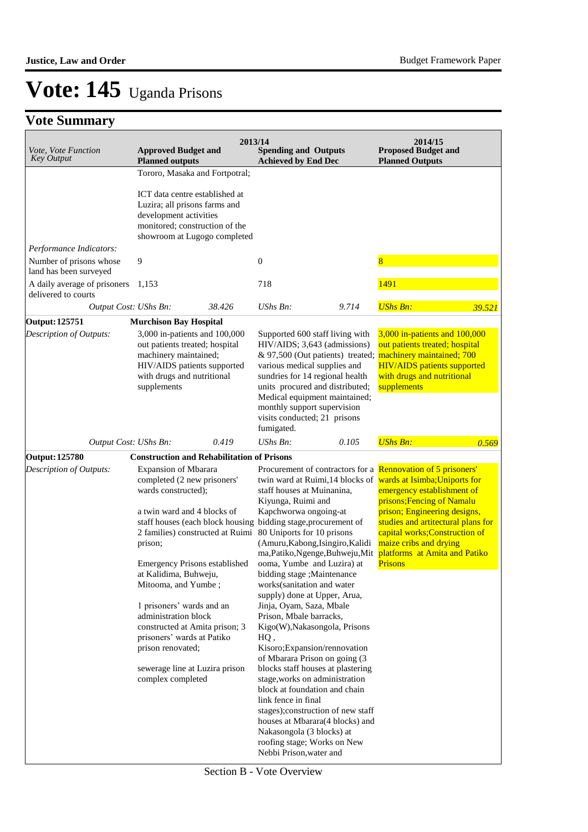### **Vote Summary**

| Vote, Vote Function<br><b>Key Output</b>                                     | <b>Approved Budget and</b><br><b>Planned outputs</b>                                                                                                                                                                                                                                                                                                                                                                                                                                                          | 2013/14 | <b>Spending and Outputs</b><br><b>Achieved by End Dec</b>                                                                                                                                                                                                                                                                                                                                                                                                                                                                                                                                                                                                                                                                                                                                                                                   |       | 2014/15<br><b>Proposed Budget and</b><br><b>Planned Outputs</b>                                                                                                                                                                                                                                                                                                          |        |
|------------------------------------------------------------------------------|---------------------------------------------------------------------------------------------------------------------------------------------------------------------------------------------------------------------------------------------------------------------------------------------------------------------------------------------------------------------------------------------------------------------------------------------------------------------------------------------------------------|---------|---------------------------------------------------------------------------------------------------------------------------------------------------------------------------------------------------------------------------------------------------------------------------------------------------------------------------------------------------------------------------------------------------------------------------------------------------------------------------------------------------------------------------------------------------------------------------------------------------------------------------------------------------------------------------------------------------------------------------------------------------------------------------------------------------------------------------------------------|-------|--------------------------------------------------------------------------------------------------------------------------------------------------------------------------------------------------------------------------------------------------------------------------------------------------------------------------------------------------------------------------|--------|
|                                                                              | Tororo, Masaka and Fortpotral;<br>ICT data centre established at<br>Luzira; all prisons farms and<br>development activities<br>monitored; construction of the<br>showroom at Lugogo completed                                                                                                                                                                                                                                                                                                                 |         |                                                                                                                                                                                                                                                                                                                                                                                                                                                                                                                                                                                                                                                                                                                                                                                                                                             |       |                                                                                                                                                                                                                                                                                                                                                                          |        |
| Performance Indicators:<br>Number of prisons whose<br>land has been surveyed | 9                                                                                                                                                                                                                                                                                                                                                                                                                                                                                                             |         | $\boldsymbol{0}$                                                                                                                                                                                                                                                                                                                                                                                                                                                                                                                                                                                                                                                                                                                                                                                                                            |       | 8                                                                                                                                                                                                                                                                                                                                                                        |        |
| A daily average of prisoners<br>delivered to courts                          | 1,153                                                                                                                                                                                                                                                                                                                                                                                                                                                                                                         |         | 718                                                                                                                                                                                                                                                                                                                                                                                                                                                                                                                                                                                                                                                                                                                                                                                                                                         |       | 1491                                                                                                                                                                                                                                                                                                                                                                     |        |
| Output Cost: UShs Bn:                                                        |                                                                                                                                                                                                                                                                                                                                                                                                                                                                                                               | 38.426  | UShs Bn:                                                                                                                                                                                                                                                                                                                                                                                                                                                                                                                                                                                                                                                                                                                                                                                                                                    | 9.714 | <b>UShs Bn:</b>                                                                                                                                                                                                                                                                                                                                                          | 39.521 |
| Output: 125751<br>Description of Outputs:                                    | <b>Murchison Bay Hospital</b><br>3,000 in-patients and 100,000<br>out patients treated; hospital<br>machinery maintained;<br>HIV/AIDS patients supported<br>with drugs and nutritional<br>supplements                                                                                                                                                                                                                                                                                                         |         | Supported 600 staff living with<br>$HIV/AIDS$ ; 3,643 (admissions)<br>& 97,500 (Out patients) treated;<br>various medical supplies and<br>sundries for 14 regional health<br>units procured and distributed;<br>Medical equipment maintained;<br>monthly support supervision<br>visits conducted; 21 prisons<br>fumigated.                                                                                                                                                                                                                                                                                                                                                                                                                                                                                                                  |       | 3,000 in-patients and 100,000<br>out patients treated; hospital<br>machinery maintained; 700<br><b>HIV/AIDS</b> patients supported<br>with drugs and nutritional<br>supplements                                                                                                                                                                                          |        |
| Output Cost: UShs Bn:                                                        |                                                                                                                                                                                                                                                                                                                                                                                                                                                                                                               | 0.419   | UShs Bn:                                                                                                                                                                                                                                                                                                                                                                                                                                                                                                                                                                                                                                                                                                                                                                                                                                    | 0.105 | <b>UShs Bn:</b>                                                                                                                                                                                                                                                                                                                                                          | 0.569  |
| Output: 125780<br>Description of Outputs:                                    | <b>Construction and Rehabilitation of Prisons</b><br><b>Expansion of Mbarara</b><br>completed (2 new prisoners'<br>wards constructed);<br>a twin ward and 4 blocks of<br>2 families) constructed at Ruimi<br>prison;<br><b>Emergency Prisons established</b><br>at Kalidima, Buhweju,<br>Mitooma, and Yumbe;<br>1 prisoners' wards and an<br>administration block<br>constructed at Amita prison; 3<br>prisoners' wards at Patiko<br>prison renovated;<br>sewerage line at Luzira prison<br>complex completed |         | staff houses at Muinanina,<br>Kiyunga, Ruimi and<br>Kapchworwa ongoing-at<br>staff houses (each block housing bidding stage, procurement of<br>80 Uniports for 10 prisons<br>(Amuru, Kabong, Isingiro, Kalidi<br>ma, Patiko, Ngenge, Buhweju, Mit<br>ooma, Yumbe and Luzira) at<br>bidding stage ; Maintenance<br>works(sanitation and water<br>supply) done at Upper, Arua,<br>Jinja, Oyam, Saza, Mbale<br>Prison, Mbale barracks,<br>Kigo(W), Nakasongola, Prisons<br>HQ,<br>Kisoro; Expansion/rennovation<br>of Mbarara Prison on going (3<br>blocks staff houses at plastering<br>stage, works on administration<br>block at foundation and chain<br>link fence in final<br>stages);construction of new staff<br>houses at Mbarara(4 blocks) and<br>Nakasongola (3 blocks) at<br>roofing stage; Works on New<br>Nebbi Prison, water and |       | Procurement of contractors for a Rennovation of 5 prisoners'<br>twin ward at Ruimi, 14 blocks of wards at Isimba; Uniports for<br>emergency establishment of<br>prisons; Fencing of Namalu<br>prison; Engineering designs,<br>studies and artitectural plans for<br>capital works; Construction of<br>maize cribs and drying<br>platforms at Amita and Patiko<br>Prisons |        |

Section B - Vote Overview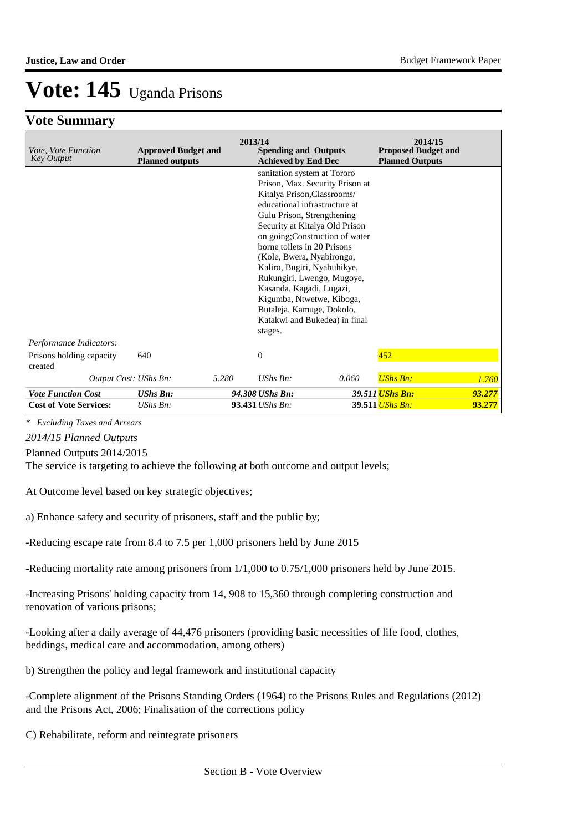### **Vote Summary**

| Vote, Vote Function<br><b>Key Output</b> | <b>Approved Budget and</b><br><b>Planned outputs</b> | 2013/14<br><b>Spending and Outputs</b><br><b>Achieved by End Dec</b>                                                                                                                                                                                                                                                                                                                                                                                                                         | 2014/15<br><b>Proposed Budget and</b><br><b>Planned Outputs</b> |
|------------------------------------------|------------------------------------------------------|----------------------------------------------------------------------------------------------------------------------------------------------------------------------------------------------------------------------------------------------------------------------------------------------------------------------------------------------------------------------------------------------------------------------------------------------------------------------------------------------|-----------------------------------------------------------------|
|                                          |                                                      | sanitation system at Tororo<br>Prison, Max. Security Prison at<br>Kitalya Prison, Classrooms/<br>educational infrastructure at<br>Gulu Prison, Strengthening<br>Security at Kitalya Old Prison<br>on going; Construction of water<br>borne toilets in 20 Prisons<br>(Kole, Bwera, Nyabirongo,<br>Kaliro, Bugiri, Nyabuhikye,<br>Rukungiri, Lwengo, Mugoye,<br>Kasanda, Kagadi, Lugazi,<br>Kigumba, Ntwetwe, Kiboga,<br>Butaleja, Kamuge, Dokolo,<br>Katakwi and Bukedea) in final<br>stages. |                                                                 |
| Performance Indicators:                  |                                                      |                                                                                                                                                                                                                                                                                                                                                                                                                                                                                              |                                                                 |
| Prisons holding capacity<br>created      | 640                                                  | $\overline{0}$                                                                                                                                                                                                                                                                                                                                                                                                                                                                               | 452                                                             |
| Output Cost: UShs Bn:                    | 5.280                                                | $UShs Bn$ :<br>0.060                                                                                                                                                                                                                                                                                                                                                                                                                                                                         | <b>UShs Bn:</b><br>1.760                                        |
| <b>Vote Function Cost</b>                | <b>UShs Bn:</b>                                      | 94.308 UShs Bn:                                                                                                                                                                                                                                                                                                                                                                                                                                                                              | 39.511 UShs Bn:<br>93.277                                       |
| <b>Cost of Vote Services:</b>            | $UShs Bn$ :                                          | 93.431 UShs Bn:                                                                                                                                                                                                                                                                                                                                                                                                                                                                              | 39.511 <i>UShs Bn:</i><br>93.277                                |

*\* Excluding Taxes and Arrears*

*2014/15 Planned Outputs*

Planned Outputs 2014/2015

The service is targeting to achieve the following at both outcome and output levels;

At Outcome level based on key strategic objectives;

a) Enhance safety and security of prisoners, staff and the public by;

-Reducing escape rate from 8.4 to 7.5 per 1,000 prisoners held by June 2015

-Reducing mortality rate among prisoners from 1/1,000 to 0.75/1,000 prisoners held by June 2015.

-Increasing Prisons' holding capacity from 14, 908 to 15,360 through completing construction and renovation of various prisons;

-Looking after a daily average of 44,476 prisoners (providing basic necessities of life food, clothes, beddings, medical care and accommodation, among others)

b) Strengthen the policy and legal framework and institutional capacity

-Complete alignment of the Prisons Standing Orders (1964) to the Prisons Rules and Regulations (2012) and the Prisons Act, 2006; Finalisation of the corrections policy

C) Rehabilitate, reform and reintegrate prisoners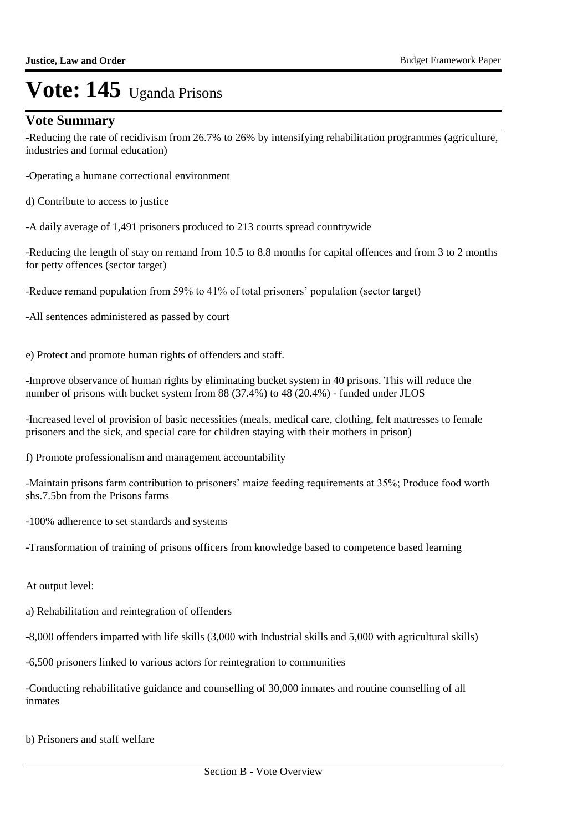### **Vote Summary**

-Reducing the rate of recidivism from 26.7% to 26% by intensifying rehabilitation programmes (agriculture, industries and formal education)

-Operating a humane correctional environment

d) Contribute to access to justice

-A daily average of 1,491 prisoners produced to 213 courts spread countrywide

-Reducing the length of stay on remand from 10.5 to 8.8 months for capital offences and from 3 to 2 months for petty offences (sector target)

-Reduce remand population from 59% to 41% of total prisoners' population (sector target)

-All sentences administered as passed by court

e) Protect and promote human rights of offenders and staff.

-Improve observance of human rights by eliminating bucket system in 40 prisons. This will reduce the number of prisons with bucket system from 88 (37.4%) to 48 (20.4%) - funded under JLOS

-Increased level of provision of basic necessities (meals, medical care, clothing, felt mattresses to female prisoners and the sick, and special care for children staying with their mothers in prison)

f) Promote professionalism and management accountability

-Maintain prisons farm contribution to prisoners' maize feeding requirements at 35%; Produce food worth shs.7.5bn from the Prisons farms

-100% adherence to set standards and systems

-Transformation of training of prisons officers from knowledge based to competence based learning

At output level:

a) Rehabilitation and reintegration of offenders

-8,000 offenders imparted with life skills (3,000 with Industrial skills and 5,000 with agricultural skills)

-6,500 prisoners linked to various actors for reintegration to communities

-Conducting rehabilitative guidance and counselling of 30,000 inmates and routine counselling of all inmates

b) Prisoners and staff welfare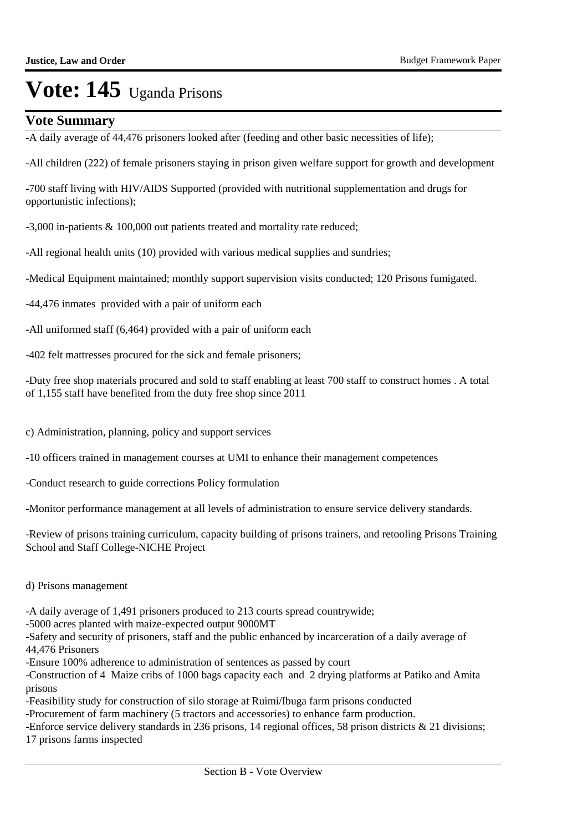#### **Vote Summary**

-A daily average of 44,476 prisoners looked after (feeding and other basic necessities of life);

-All children (222) of female prisoners staying in prison given welfare support for growth and development

-700 staff living with HIV/AIDS Supported (provided with nutritional supplementation and drugs for opportunistic infections);

-3,000 in-patients & 100,000 out patients treated and mortality rate reduced;

-All regional health units (10) provided with various medical supplies and sundries;

-Medical Equipment maintained; monthly support supervision visits conducted; 120 Prisons fumigated.

-44,476 inmates provided with a pair of uniform each

-All uniformed staff (6,464) provided with a pair of uniform each

-402 felt mattresses procured for the sick and female prisoners;

-Duty free shop materials procured and sold to staff enabling at least 700 staff to construct homes . A total of 1,155 staff have benefited from the duty free shop since 2011

c) Administration, planning, policy and support services

-10 officers trained in management courses at UMI to enhance their management competences

-Conduct research to guide corrections Policy formulation

-Monitor performance management at all levels of administration to ensure service delivery standards.

-Review of prisons training curriculum, capacity building of prisons trainers, and retooling Prisons Training School and Staff College-NICHE Project

d) Prisons management

-A daily average of 1,491 prisoners produced to 213 courts spread countrywide;

-5000 acres planted with maize-expected output 9000MT

-Safety and security of prisoners, staff and the public enhanced by incarceration of a daily average of 44,476 Prisoners

-Ensure 100% adherence to administration of sentences as passed by court

-Construction of 4 Maize cribs of 1000 bags capacity each and 2 drying platforms at Patiko and Amita prisons

-Feasibility study for construction of silo storage at Ruimi/Ibuga farm prisons conducted

-Procurement of farm machinery (5 tractors and accessories) to enhance farm production.

-Enforce service delivery standards in 236 prisons, 14 regional offices, 58 prison districts & 21 divisions; 17 prisons farms inspected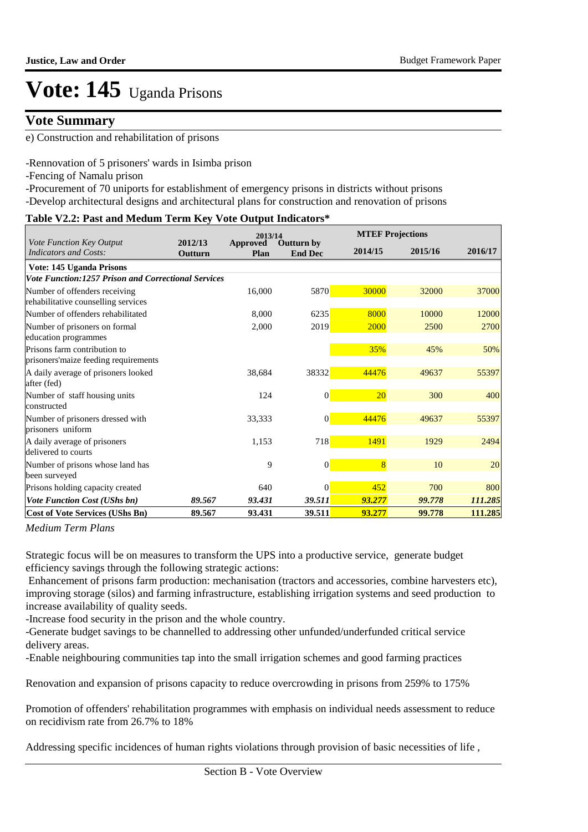### **Vote Summary**

e) Construction and rehabilitation of prisons

-Rennovation of 5 prisoners' wards in Isimba prison

-Fencing of Namalu prison

-Procurement of 70 uniports for establishment of emergency prisons in districts without prisons

-Develop architectural designs and architectural plans for construction and renovation of prisons

#### **Table V2.2: Past and Medum Term Key Vote Output Indicators\***

|                                                                      |                    | 2013/14                 |                                     | <b>MTEF Projections</b> |         |         |  |  |
|----------------------------------------------------------------------|--------------------|-------------------------|-------------------------------------|-------------------------|---------|---------|--|--|
| <b>Vote Function Key Output</b><br>Indicators and Costs:             | 2012/13<br>Outturn | <b>Approved</b><br>Plan | <b>Outturn by</b><br><b>End Dec</b> | 2014/15                 | 2015/16 | 2016/17 |  |  |
| Vote: 145 Uganda Prisons                                             |                    |                         |                                     |                         |         |         |  |  |
| <b>Vote Function:1257 Prison and Correctional Services</b>           |                    |                         |                                     |                         |         |         |  |  |
| Number of offenders receiving<br>rehabilitative counselling services |                    | 16,000                  | 5870                                | 30000                   | 32000   | 37000   |  |  |
| Number of offenders rehabilitated                                    |                    | 8,000                   | 6235                                | 8000                    | 10000   | 12000   |  |  |
| Number of prisoners on formal<br>education programmes                |                    | 2,000                   | 2019                                | 2000                    | 2500    | 2700    |  |  |
| Prisons farm contribution to<br>prisoners'maize feeding requirements |                    |                         |                                     | 35%                     | 45%     | 50%     |  |  |
| A daily average of prisoners looked<br>after (fed)                   |                    | 38,684                  | 38332                               | 44476                   | 49637   | 55397   |  |  |
| Number of staff housing units<br>constructed                         |                    | 124                     | $\boldsymbol{0}$                    | 20                      | 300     | 400     |  |  |
| Number of prisoners dressed with<br>prisoners uniform                |                    | 33,333                  | $\boldsymbol{0}$                    | 44476                   | 49637   | 55397   |  |  |
| A daily average of prisoners<br>delivered to courts                  |                    | 1,153                   | 718                                 | 1491                    | 1929    | 2494    |  |  |
| Number of prisons whose land has<br>been surveyed                    |                    | 9                       | $\boldsymbol{0}$                    | $\overline{8}$          | 10      | 20      |  |  |
| Prisons holding capacity created                                     |                    | 640                     | $\Omega$                            | 452                     | 700     | 800     |  |  |
| Vote Function Cost (UShs bn)                                         | 89.567             | 93.431                  | 39.511                              | 93.277                  | 99.778  | 111.285 |  |  |
| <b>Cost of Vote Services (UShs Bn)</b>                               | 89.567             | 93.431                  | 39.511                              | 93.277                  | 99.778  | 111.285 |  |  |

*Medium Term Plans*

Strategic focus will be on measures to transform the UPS into a productive service, generate budget efficiency savings through the following strategic actions:

 Enhancement of prisons farm production: mechanisation (tractors and accessories, combine harvesters etc), improving storage (silos) and farming infrastructure, establishing irrigation systems and seed production to increase availability of quality seeds.

-Increase food security in the prison and the whole country.

-Generate budget savings to be channelled to addressing other unfunded/underfunded critical service delivery areas.

-Enable neighbouring communities tap into the small irrigation schemes and good farming practices

Renovation and expansion of prisons capacity to reduce overcrowding in prisons from 259% to 175%

Promotion of offenders' rehabilitation programmes with emphasis on individual needs assessment to reduce on recidivism rate from 26.7% to 18%

Addressing specific incidences of human rights violations through provision of basic necessities of life ,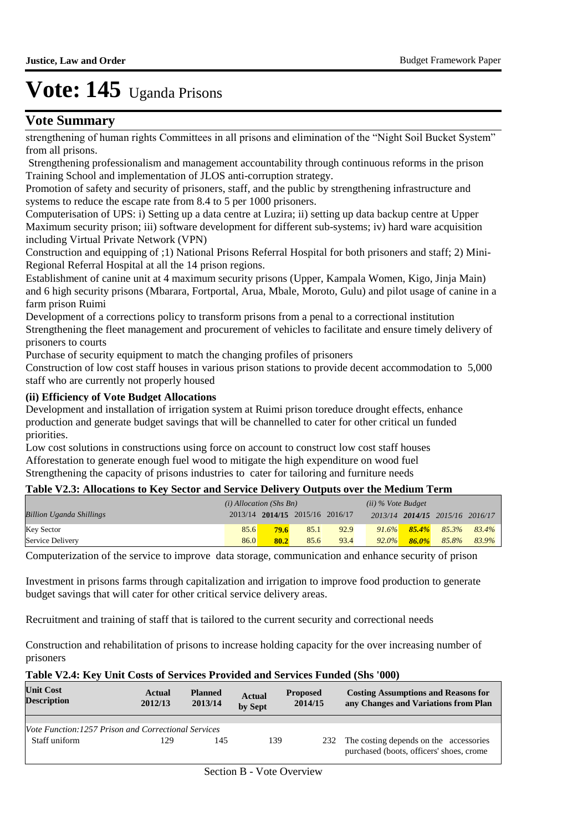### **Vote Summary**

strengthening of human rights Committees in all prisons and elimination of the "Night Soil Bucket System" from all prisons.

 Strengthening professionalism and management accountability through continuous reforms in the prison Training School and implementation of JLOS anti-corruption strategy.

Promotion of safety and security of prisoners, staff, and the public by strengthening infrastructure and systems to reduce the escape rate from 8.4 to 5 per 1000 prisoners.

Computerisation of UPS: i) Setting up a data centre at Luzira; ii) setting up data backup centre at Upper Maximum security prison; iii) software development for different sub-systems; iv) hard ware acquisition including Virtual Private Network (VPN)

Construction and equipping of ;1) National Prisons Referral Hospital for both prisoners and staff; 2) Mini-Regional Referral Hospital at all the 14 prison regions.

Establishment of canine unit at 4 maximum security prisons (Upper, Kampala Women, Kigo, Jinja Main) and 6 high security prisons (Mbarara, Fortportal, Arua, Mbale, Moroto, Gulu) and pilot usage of canine in a farm prison Ruimi

Development of a corrections policy to transform prisons from a penal to a correctional institution Strengthening the fleet management and procurement of vehicles to facilitate and ensure timely delivery of prisoners to courts

Purchase of security equipment to match the changing profiles of prisoners

Construction of low cost staff houses in various prison stations to provide decent accommodation to 5,000 staff who are currently not properly housed

#### **(ii) Efficiency of Vote Budget Allocations**

Development and installation of irrigation system at Ruimi prison toreduce drought effects, enhance production and generate budget savings that will be channelled to cater for other critical un funded priorities.

Low cost solutions in constructions using force on account to construct low cost staff houses Afforestation to generate enough fuel wood to mitigate the high expenditure on wood fuel Strengthening the capacity of prisons industries to cater for tailoring and furniture needs

#### **Table V2.3: Allocations to Key Sector and Service Delivery Outputs over the Medium Term**

|                                 | $(i)$ Allocation (Shs Bn) |                                 |      |      | $(ii)$ % Vote Budget |          |                                 |       |
|---------------------------------|---------------------------|---------------------------------|------|------|----------------------|----------|---------------------------------|-------|
| <b>Billion Uganda Shillings</b> |                           | 2013/14 2014/15 2015/16 2016/17 |      |      |                      |          | 2013/14 2014/15 2015/16 2016/17 |       |
| <b>Key Sector</b>               | 85.6                      | 79.6                            | 85.1 | 92.9 | $91.6\%$             | $85.4\%$ | 85.3%                           | 83.4% |
| Service Delivery                | 86.0                      | 80.2                            | 85.6 | 93.4 | $92.0\%$             | $86.0\%$ | 85.8%                           | 83.9% |

Computerization of the service to improve data storage, communication and enhance security of prison

Investment in prisons farms through capitalization and irrigation to improve food production to generate budget savings that will cater for other critical service delivery areas.

Recruitment and training of staff that is tailored to the current security and correctional needs

Construction and rehabilitation of prisons to increase holding capacity for the over increasing number of prisoners

#### **Table V2.4: Key Unit Costs of Services Provided and Services Funded (Shs '000)**

| <b>Unit Cost</b><br><b>Description</b>                     | Actual<br>2012/13 | <b>Planned</b><br>2013/14 | <b>Actual</b><br>by Sept | <b>Proposed</b><br>2014/15 | <b>Costing Assumptions and Reasons for</b><br>any Changes and Variations from Plan |
|------------------------------------------------------------|-------------------|---------------------------|--------------------------|----------------------------|------------------------------------------------------------------------------------|
|                                                            |                   |                           |                          |                            |                                                                                    |
| <i>Vote Function:1257 Prison and Correctional Services</i> |                   |                           |                          |                            |                                                                                    |
| Staff uniform                                              | 129               | 145                       | 139                      | 232                        | The costing depends on the accessories<br>purchased (boots, officers' shoes, crome |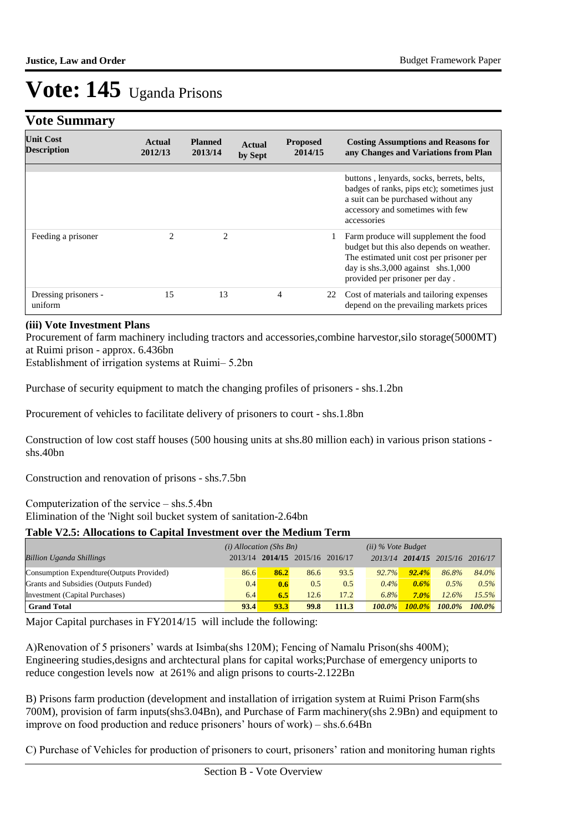### **Vote Summary**

| <b>Unit Cost</b><br><b>Description</b> | Actual<br>2012/13 | <b>Planned</b><br>2013/14 | Actual<br>by Sept | <b>Proposed</b><br>2014/15 | <b>Costing Assumptions and Reasons for</b><br>any Changes and Variations from Plan                                                                                                                    |
|----------------------------------------|-------------------|---------------------------|-------------------|----------------------------|-------------------------------------------------------------------------------------------------------------------------------------------------------------------------------------------------------|
|                                        |                   |                           |                   |                            |                                                                                                                                                                                                       |
|                                        |                   |                           |                   |                            | buttons, lenyards, socks, berrets, belts,<br>badges of ranks, pips etc); sometimes just<br>a suit can be purchased without any<br>accessory and sometimes with few<br>accessories                     |
| Feeding a prisoner                     | $\mathfrak{D}$    | 2                         |                   |                            | Farm produce will supplement the food<br>budget but this also depends on weather.<br>The estimated unit cost per prisoner per<br>day is shs.3,000 against shs.1,000<br>provided per prisoner per day. |
| Dressing prisoners -<br>uniform        | 15                | 13                        |                   | 4<br>22                    | Cost of materials and tailoring expenses<br>depend on the prevailing markets prices                                                                                                                   |

#### **(iii) Vote Investment Plans**

Procurement of farm machinery including tractors and accessories,combine harvestor,silo storage(5000MT) at Ruimi prison - approx. 6.436bn

Establishment of irrigation systems at Ruimi– 5.2bn

Purchase of security equipment to match the changing profiles of prisoners - shs.1.2bn

Procurement of vehicles to facilitate delivery of prisoners to court - shs.1.8bn

Construction of low cost staff houses (500 housing units at shs.80 million each) in various prison stations shs.40bn

Construction and renovation of prisons - shs.7.5bn

Computerization of the service – shs.5.4bn

Elimination of the 'Night soil bucket system of sanitation-2.64bn

#### **Table V2.5: Allocations to Capital Investment over the Medium Term**

|                                           | $(i)$ Allocation (Shs Bn) |      |                         |       | $(ii)$ % Vote Budget |           |                               |           |
|-------------------------------------------|---------------------------|------|-------------------------|-------|----------------------|-----------|-------------------------------|-----------|
| <b>Billion Uganda Shillings</b>           | 2013/14                   |      | 2014/15 2015/16 2016/17 |       | 2013/14              |           | $2014/15$ $2015/16$ $2016/17$ |           |
| Consumption Expendture (Outputs Provided) | 86.6                      | 86.2 | 86.6                    | 93.5  | 92.7%                | 92.4%     | 86.8%                         | 84.0%     |
| Grants and Subsidies (Outputs Funded)     | 0.4                       | 0.6  | 0.5                     | 0.5   | $0.4\%$              | $0.6\%$   | 0.5%                          | $0.5\%$   |
| Investment (Capital Purchases)            | 6.4                       | 6.5  | 12.6                    | 17.2  | $6.8\%$              | $7.0\%$   | 12.6%                         | 15.5%     |
| <b>Grand Total</b>                        | 93.4                      | 93.3 | 99.8                    | 111.3 | $100.0\%$            | $100.0\%$ | $100.0\%$                     | $100.0\%$ |

Major Capital purchases in FY2014/15 will include the following:

A)Renovation of 5 prisoners' wards at Isimba(shs 120M); Fencing of Namalu Prison(shs 400M); Engineering studies,designs and archtectural plans for capital works;Purchase of emergency uniports to reduce congestion levels now at 261% and align prisons to courts-2.122Bn

B) Prisons farm production (development and installation of irrigation system at Ruimi Prison Farm(shs 700M), provision of farm inputs(shs3.04Bn), and Purchase of Farm machinery(shs 2.9Bn) and equipment to improve on food production and reduce prisoners' hours of work) – shs.6.64Bn

C) Purchase of Vehicles for production of prisoners to court, prisoners' ration and monitoring human rights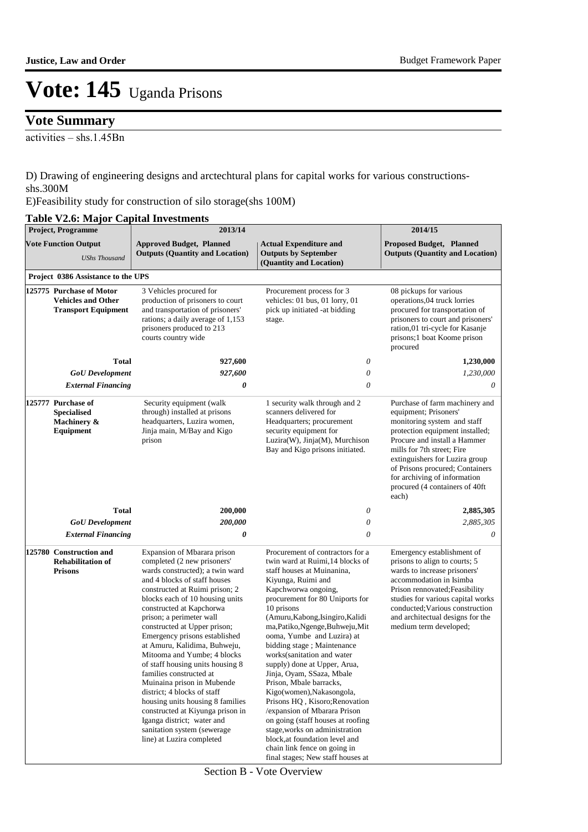### **Vote Summary**

activities – shs.1.45Bn

D) Drawing of engineering designs and arctechtural plans for capital works for various constructionsshs.300M

E)Feasibility study for construction of silo storage(shs 100M)

#### **Table V2.6: Major Capital Investments**

| <b>Project, Programme</b><br><b>Vote Function Output</b><br><b>UShs Thousand</b> |                                                                                     | 2013/14                                                                                                                                                                                                                                                                                                                                                                                                                                                                                                                                                                                                                                                                                  |                                                                                                                                                                                                                                                                                                                                                                                                                                                                                                                                                                                                                                                                                                                                         | 2014/15                                                                                                                                                                                                                                                                                                                                  |
|----------------------------------------------------------------------------------|-------------------------------------------------------------------------------------|------------------------------------------------------------------------------------------------------------------------------------------------------------------------------------------------------------------------------------------------------------------------------------------------------------------------------------------------------------------------------------------------------------------------------------------------------------------------------------------------------------------------------------------------------------------------------------------------------------------------------------------------------------------------------------------|-----------------------------------------------------------------------------------------------------------------------------------------------------------------------------------------------------------------------------------------------------------------------------------------------------------------------------------------------------------------------------------------------------------------------------------------------------------------------------------------------------------------------------------------------------------------------------------------------------------------------------------------------------------------------------------------------------------------------------------------|------------------------------------------------------------------------------------------------------------------------------------------------------------------------------------------------------------------------------------------------------------------------------------------------------------------------------------------|
|                                                                                  |                                                                                     | <b>Approved Budget, Planned</b><br><b>Actual Expenditure and</b><br><b>Outputs (Quantity and Location)</b><br><b>Outputs by September</b><br>(Quantity and Location)                                                                                                                                                                                                                                                                                                                                                                                                                                                                                                                     |                                                                                                                                                                                                                                                                                                                                                                                                                                                                                                                                                                                                                                                                                                                                         | <b>Proposed Budget, Planned</b><br><b>Outputs (Quantity and Location)</b>                                                                                                                                                                                                                                                                |
|                                                                                  | Project 0386 Assistance to the UPS                                                  |                                                                                                                                                                                                                                                                                                                                                                                                                                                                                                                                                                                                                                                                                          |                                                                                                                                                                                                                                                                                                                                                                                                                                                                                                                                                                                                                                                                                                                                         |                                                                                                                                                                                                                                                                                                                                          |
|                                                                                  | 125775 Purchase of Motor<br><b>Vehicles and Other</b><br><b>Transport Equipment</b> | 3 Vehicles procured for<br>production of prisoners to court<br>and transportation of prisoners'<br>rations; a daily average of 1,153<br>prisoners produced to 213<br>courts country wide                                                                                                                                                                                                                                                                                                                                                                                                                                                                                                 | Procurement process for 3<br>vehicles: 01 bus, 01 lorry, 01<br>pick up initiated -at bidding<br>stage.                                                                                                                                                                                                                                                                                                                                                                                                                                                                                                                                                                                                                                  | 08 pickups for various<br>operations,04 truck lorries<br>procured for transportation of<br>prisoners to court and prisoners'<br>ration,01 tri-cycle for Kasanje<br>prisons;1 boat Koome prison<br>procured                                                                                                                               |
|                                                                                  | <b>Total</b>                                                                        | 927,600                                                                                                                                                                                                                                                                                                                                                                                                                                                                                                                                                                                                                                                                                  | 0                                                                                                                                                                                                                                                                                                                                                                                                                                                                                                                                                                                                                                                                                                                                       | 1,230,000                                                                                                                                                                                                                                                                                                                                |
|                                                                                  | <b>GoU</b> Development                                                              | 927,600                                                                                                                                                                                                                                                                                                                                                                                                                                                                                                                                                                                                                                                                                  | 0                                                                                                                                                                                                                                                                                                                                                                                                                                                                                                                                                                                                                                                                                                                                       | 1,230,000                                                                                                                                                                                                                                                                                                                                |
|                                                                                  | <b>External Financing</b>                                                           | 0                                                                                                                                                                                                                                                                                                                                                                                                                                                                                                                                                                                                                                                                                        | $\theta$                                                                                                                                                                                                                                                                                                                                                                                                                                                                                                                                                                                                                                                                                                                                | 0                                                                                                                                                                                                                                                                                                                                        |
|                                                                                  | 125777 Purchase of<br><b>Specialised</b><br>Machinery &<br>Equipment                | Security equipment (walk<br>1 security walk through and 2<br>through) installed at prisons<br>scanners delivered for<br>headquarters, Luzira women,<br>Headquarters; procurement<br>Jinja main, M/Bay and Kigo<br>security equipment for<br>Luzira(W), Jinja(M), Murchison<br>prison<br>Bay and Kigo prisons initiated.                                                                                                                                                                                                                                                                                                                                                                  |                                                                                                                                                                                                                                                                                                                                                                                                                                                                                                                                                                                                                                                                                                                                         | Purchase of farm machinery and<br>equipment; Prisoners'<br>monitoring system and staff<br>protection equipment installed;<br>Procure and install a Hammer<br>mills for 7th street; Fire<br>extinguishers for Luzira group<br>of Prisons procured; Containers<br>for archiving of information<br>procured (4 containers of 40ft)<br>each) |
|                                                                                  | <b>Total</b>                                                                        | 200,000                                                                                                                                                                                                                                                                                                                                                                                                                                                                                                                                                                                                                                                                                  | 0                                                                                                                                                                                                                                                                                                                                                                                                                                                                                                                                                                                                                                                                                                                                       | 2,885,305                                                                                                                                                                                                                                                                                                                                |
|                                                                                  | <b>GoU</b> Development                                                              | 200,000                                                                                                                                                                                                                                                                                                                                                                                                                                                                                                                                                                                                                                                                                  | 0                                                                                                                                                                                                                                                                                                                                                                                                                                                                                                                                                                                                                                                                                                                                       | 2,885,305                                                                                                                                                                                                                                                                                                                                |
|                                                                                  | <b>External Financing</b>                                                           | 0                                                                                                                                                                                                                                                                                                                                                                                                                                                                                                                                                                                                                                                                                        | $\theta$                                                                                                                                                                                                                                                                                                                                                                                                                                                                                                                                                                                                                                                                                                                                | 0                                                                                                                                                                                                                                                                                                                                        |
|                                                                                  | 125780 Construction and<br><b>Rehabilitation of</b><br><b>Prisons</b>               | Expansion of Mbarara prison<br>completed (2 new prisoners'<br>wards constructed); a twin ward<br>and 4 blocks of staff houses<br>constructed at Ruimi prison; 2<br>blocks each of 10 housing units<br>constructed at Kapchorwa<br>prison; a perimeter wall<br>constructed at Upper prison;<br>Emergency prisons established<br>at Amuru, Kalidima, Buhweju,<br>Mitooma and Yumbe; 4 blocks<br>of staff housing units housing 8<br>families constructed at<br>Muinaina prison in Mubende<br>district; 4 blocks of staff<br>housing units housing 8 families<br>constructed at Kiyunga prison in<br>Iganga district; water and<br>sanitation system (sewerage<br>line) at Luzira completed | Procurement of contractors for a<br>twin ward at Ruimi, 14 blocks of<br>staff houses at Muinanina,<br>Kiyunga, Ruimi and<br>Kapchworwa ongoing,<br>procurement for 80 Uniports for<br>10 prisons<br>(Amuru, Kabong, Isingiro, Kalidi<br>ma, Patiko, Ngenge, Buhweju, Mit<br>ooma, Yumbe and Luzira) at<br>bidding stage; Maintenance<br>works(sanitation and water<br>supply) done at Upper, Arua.<br>Jinja, Oyam, SSaza, Mbale<br>Prison, Mbale barracks,<br>Kigo(women), Nakasongola,<br>Prisons HQ, Kisoro; Renovation<br>/expansion of Mbarara Prison<br>on going (staff houses at roofing<br>stage, works on administration<br>block, at foundation level and<br>chain link fence on going in<br>final stages; New staff houses at | Emergency establishment of<br>prisons to align to courts; 5<br>wards to increase prisoners'<br>accommodation in Isimba<br>Prison rennovated; Feasibility<br>studies for various capital works<br>conducted; Various construction<br>and architectual designs for the<br>medium term developed;                                           |

Section B - Vote Overview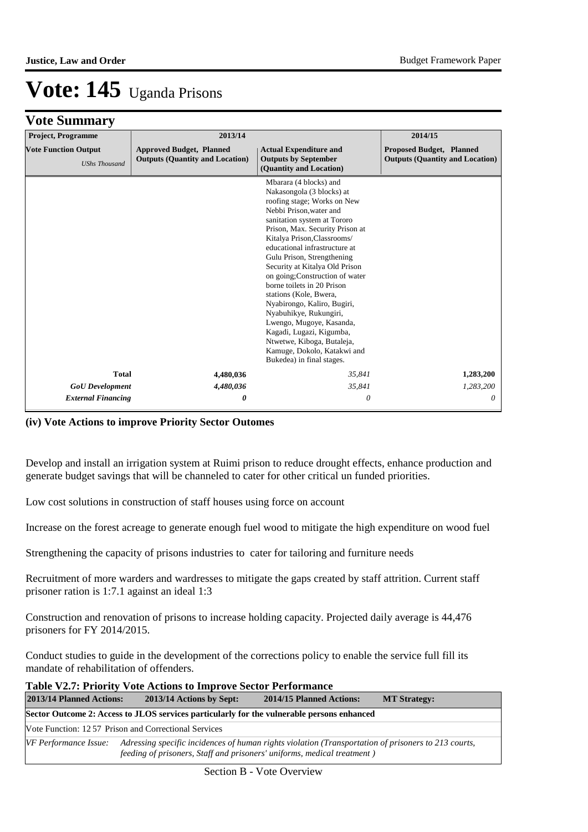### **Vote Summary**

| <b>Project, Programme</b>                                                                                                                                                                                                   | 2013/14   | 2014/15                                                                                                                                                                                                                                                                                                                                                                                                                                                                                                                                                                                                               |                                                                           |  |
|-----------------------------------------------------------------------------------------------------------------------------------------------------------------------------------------------------------------------------|-----------|-----------------------------------------------------------------------------------------------------------------------------------------------------------------------------------------------------------------------------------------------------------------------------------------------------------------------------------------------------------------------------------------------------------------------------------------------------------------------------------------------------------------------------------------------------------------------------------------------------------------------|---------------------------------------------------------------------------|--|
| <b>Vote Function Output</b><br><b>Actual Expenditure and</b><br><b>Approved Budget, Planned</b><br><b>Outputs (Quantity and Location)</b><br><b>Outputs by September</b><br><b>UShs Thousand</b><br>(Quantity and Location) |           |                                                                                                                                                                                                                                                                                                                                                                                                                                                                                                                                                                                                                       | <b>Proposed Budget, Planned</b><br><b>Outputs (Quantity and Location)</b> |  |
|                                                                                                                                                                                                                             |           | Mbarara (4 blocks) and<br>Nakasongola (3 blocks) at<br>roofing stage; Works on New<br>Nebbi Prison, water and<br>sanitation system at Tororo<br>Prison, Max. Security Prison at<br>Kitalya Prison, Classrooms/<br>educational infrastructure at<br>Gulu Prison, Strengthening<br>Security at Kitalya Old Prison<br>on going; Construction of water<br>borne toilets in 20 Prison<br>stations (Kole, Bwera,<br>Nyabirongo, Kaliro, Bugiri,<br>Nyabuhikye, Rukungiri,<br>Lwengo, Mugoye, Kasanda,<br>Kagadi, Lugazi, Kigumba,<br>Ntwetwe, Kiboga, Butaleja,<br>Kamuge, Dokolo, Katakwi and<br>Bukedea) in final stages. |                                                                           |  |
| <b>Total</b>                                                                                                                                                                                                                | 4,480,036 | 35,841                                                                                                                                                                                                                                                                                                                                                                                                                                                                                                                                                                                                                |                                                                           |  |
| <b>GoU</b> Development                                                                                                                                                                                                      | 4,480,036 | 35,841                                                                                                                                                                                                                                                                                                                                                                                                                                                                                                                                                                                                                | 1,283,200                                                                 |  |
| <b>External Financing</b>                                                                                                                                                                                                   | 0         | 0                                                                                                                                                                                                                                                                                                                                                                                                                                                                                                                                                                                                                     | 0                                                                         |  |

#### **(iv) Vote Actions to improve Priority Sector Outomes**

Develop and install an irrigation system at Ruimi prison to reduce drought effects, enhance production and generate budget savings that will be channeled to cater for other critical un funded priorities.

Low cost solutions in construction of staff houses using force on account

Increase on the forest acreage to generate enough fuel wood to mitigate the high expenditure on wood fuel

Strengthening the capacity of prisons industries to cater for tailoring and furniture needs

Recruitment of more warders and wardresses to mitigate the gaps created by staff attrition. Current staff prisoner ration is 1:7.1 against an ideal 1:3

Construction and renovation of prisons to increase holding capacity. Projected daily average is 44,476 prisoners for FY 2014/2015.

Conduct studies to guide in the development of the corrections policy to enable the service full fill its mandate of rehabilitation of offenders.

| <b>Table V2.7: Priority Vote Actions to Improve Sector Performance</b>                                                                                                                                  |                          |                          |  |  |  |
|---------------------------------------------------------------------------------------------------------------------------------------------------------------------------------------------------------|--------------------------|--------------------------|--|--|--|
| 2013/14 Planned Actions:                                                                                                                                                                                | 2013/14 Actions by Sept: | 2014/15 Planned Actions: |  |  |  |
| Sector Outcome 2: Access to JLOS services particularly for the vulnerable persons enhanced                                                                                                              |                          |                          |  |  |  |
| Vote Function: 1257 Prison and Correctional Services                                                                                                                                                    |                          |                          |  |  |  |
| Adressing specific incidences of human rights violation (Transportation of prisoners to 213 courts,<br>VF Performance Issue:<br>feeding of prisoners, Staff and prisoners' uniforms, medical treatment) |                          |                          |  |  |  |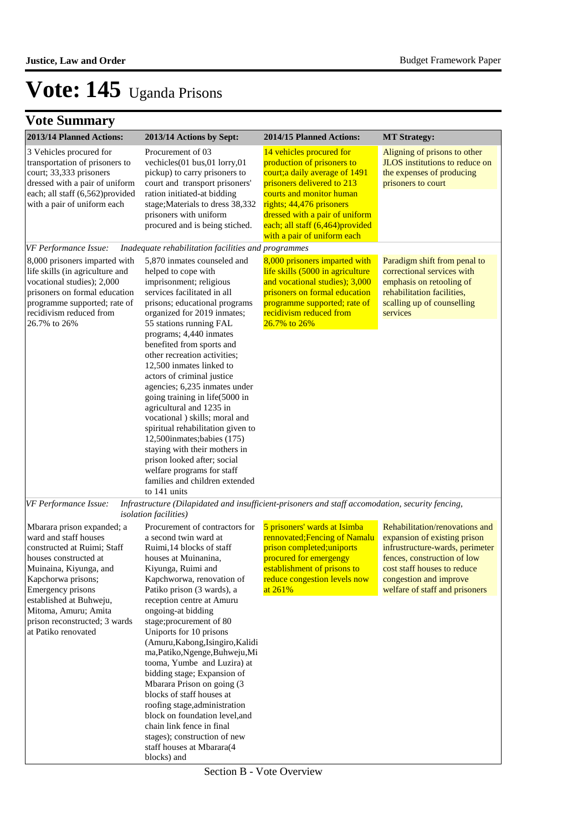| 2013/14 Planned Actions:                                                                                                                                                                                                                                                                    | 2013/14 Actions by Sept:                                                                                                                                                                                                                                                                                                                                                                                                                                                                                                                                                                                                                                                                                            | 2014/15 Planned Actions:                                                                                                                                                                                                                                                            | <b>MT</b> Strategy:                                                                                                                                                                                                         |
|---------------------------------------------------------------------------------------------------------------------------------------------------------------------------------------------------------------------------------------------------------------------------------------------|---------------------------------------------------------------------------------------------------------------------------------------------------------------------------------------------------------------------------------------------------------------------------------------------------------------------------------------------------------------------------------------------------------------------------------------------------------------------------------------------------------------------------------------------------------------------------------------------------------------------------------------------------------------------------------------------------------------------|-------------------------------------------------------------------------------------------------------------------------------------------------------------------------------------------------------------------------------------------------------------------------------------|-----------------------------------------------------------------------------------------------------------------------------------------------------------------------------------------------------------------------------|
| 3 Vehicles procured for<br>transportation of prisoners to<br>court; 33,333 prisoners<br>dressed with a pair of uniform<br>each; all staff (6,562)provided<br>with a pair of uniform each                                                                                                    | Procurement of 03<br>vechicles(01 bus,01 lorry,01<br>pickup) to carry prisoners to<br>court and transport prisoners'<br>ration initiated-at bidding<br>stage; Materials to dress 38,332<br>prisoners with uniform<br>procured and is being stiched.                                                                                                                                                                                                                                                                                                                                                                                                                                                                 | 14 vehicles procured for<br>production of prisoners to<br>court; a daily average of 1491<br>prisoners delivered to 213<br>courts and monitor human<br>rights; 44,476 prisoners<br>dressed with a pair of uniform<br>each; all staff (6,464) provided<br>with a pair of uniform each | Aligning of prisons to other<br><b>JLOS</b> institutions to reduce on<br>the expenses of producing<br>prisoners to court                                                                                                    |
| VF Performance Issue:                                                                                                                                                                                                                                                                       | Inadequate rehabilitation facilities and programmes                                                                                                                                                                                                                                                                                                                                                                                                                                                                                                                                                                                                                                                                 |                                                                                                                                                                                                                                                                                     |                                                                                                                                                                                                                             |
| 8,000 prisoners imparted with<br>life skills (in agriculture and<br>vocational studies); 2,000<br>prisoners on formal education<br>programme supported; rate of<br>recidivism reduced from<br>26.7% to 26%                                                                                  | 5,870 inmates counseled and<br>helped to cope with<br>imprisonment; religious<br>services facilitated in all<br>prisons; educational programs<br>organized for 2019 inmates;<br>55 stations running FAL<br>programs; 4,440 inmates<br>benefited from sports and<br>other recreation activities;<br>12,500 inmates linked to<br>actors of criminal justice<br>agencies; 6,235 inmates under<br>going training in life(5000 in<br>agricultural and 1235 in<br>vocational ) skills; moral and<br>spiritual rehabilitation given to<br>12,500inmates; babies (175)<br>staying with their mothers in<br>prison looked after; social<br>welfare programs for staff<br>families and children extended<br>to 141 units      | 8,000 prisoners imparted with<br>life skills (5000 in agriculture<br>and vocational studies); 3,000<br>prisoners on formal education<br>programme supported; rate of<br>recidivism reduced from<br>26.7% to 26%                                                                     | Paradigm shift from penal to<br>correctional services with<br>emphasis on retooling of<br>rehabilitation facilities.<br>scalling up of counselling<br>services                                                              |
| VF Performance Issue:                                                                                                                                                                                                                                                                       | Infrastructure (Dilapidated and insufficient-prisoners and staff accomodation, security fencing,                                                                                                                                                                                                                                                                                                                                                                                                                                                                                                                                                                                                                    |                                                                                                                                                                                                                                                                                     |                                                                                                                                                                                                                             |
| Mbarara prison expanded; a<br>ward and staff houses<br>constructed at Ruimi; Staff<br>houses constructed at<br>Muinaina, Kiyunga, and<br>Kapchorwa prisons;<br>Emergency prisons<br>established at Buhweju,<br>Mitoma, Amuru; Amita<br>prison reconstructed; 3 wards<br>at Patiko renovated | <i>isolation facilities</i> )<br>Procurement of contractors for<br>a second twin ward at<br>Ruimi, 14 blocks of staff<br>houses at Muinanina,<br>Kiyunga, Ruimi and<br>Kapchworwa, renovation of<br>Patiko prison (3 wards), a<br>reception centre at Amuru<br>ongoing-at bidding<br>stage;procurement of 80<br>Uniports for 10 prisons<br>(Amuru, Kabong, Isingiro, Kalidi<br>ma, Patiko, Ngenge, Buhweju, Mi<br>tooma, Yumbe and Luzira) at<br>bidding stage; Expansion of<br>Mbarara Prison on going (3<br>blocks of staff houses at<br>roofing stage, administration<br>block on foundation level, and<br>chain link fence in final<br>stages); construction of new<br>staff houses at Mbarara(4<br>blocks) and | 5 prisoners' wards at Isimba<br>rennovated; Fencing of Namalu<br>prison completed; uniports<br>procured for emergengy<br>establishment of prisons to<br>reduce congestion levels now<br>at 261%                                                                                     | Rehabilitation/renovations and<br>expansion of existing prison<br>infrustructure-wards, perimeter<br>fences, construction of low<br>cost staff houses to reduce<br>congestion and improve<br>welfare of staff and prisoners |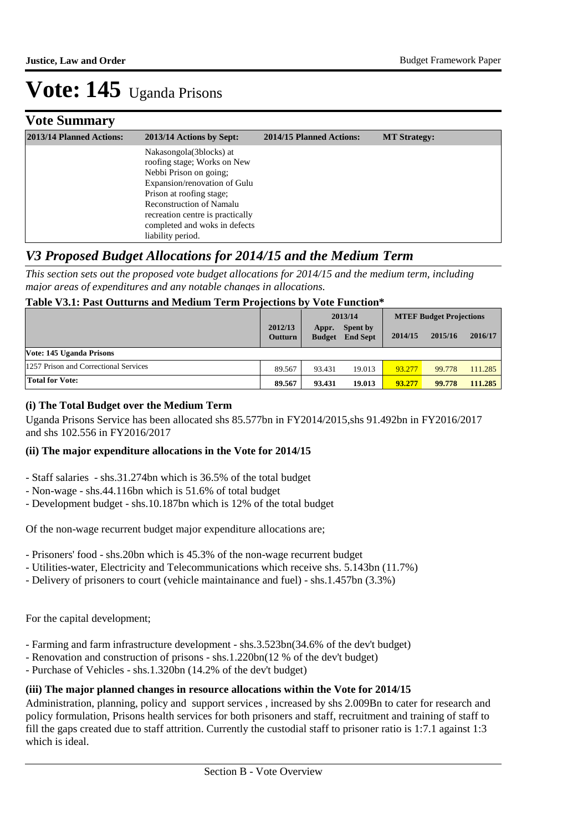### **Vote Summary**

| 2013/14 Planned Actions: | 2013/14 Actions by Sept:                                                                                                                                                                                                                                                  | 2014/15 Planned Actions: | <b>MT Strategy:</b> |
|--------------------------|---------------------------------------------------------------------------------------------------------------------------------------------------------------------------------------------------------------------------------------------------------------------------|--------------------------|---------------------|
|                          | Nakasongola(3blocks) at<br>roofing stage; Works on New<br>Nebbi Prison on going;<br>Expansion/renovation of Gulu<br>Prison at roofing stage;<br><b>Reconstruction of Namalu</b><br>recreation centre is practically<br>completed and woks in defects<br>liability period. |                          |                     |

### *V3 Proposed Budget Allocations for 2014/15 and the Medium Term*

*This section sets out the proposed vote budget allocations for 2014/15 and the medium term, including major areas of expenditures and any notable changes in allocations.* 

#### **Table V3.1: Past Outturns and Medium Term Projections by Vote Function\***

|                                       |                           |                        | 2013/14                            |         | <b>MTEF Budget Projections</b> |         |  |
|---------------------------------------|---------------------------|------------------------|------------------------------------|---------|--------------------------------|---------|--|
|                                       | 2012/13<br><b>Outturn</b> | Appr.<br><b>Budget</b> | <b>Spent by</b><br><b>End Sept</b> | 2014/15 | 2015/16                        | 2016/17 |  |
| Vote: 145 Uganda Prisons              |                           |                        |                                    |         |                                |         |  |
| 1257 Prison and Correctional Services | 89.567                    | 93.431                 | 19.013                             | 93.277  | 99.778                         | 111.285 |  |
| <b>Total for Vote:</b>                | 89.567                    | 93.431                 | 19.013                             | 93.277  | 99.778                         | 111.285 |  |

#### **(i) The Total Budget over the Medium Term**

Uganda Prisons Service has been allocated shs 85.577bn in FY2014/2015,shs 91.492bn in FY2016/2017 and shs 102.556 in FY2016/2017

#### **(ii) The major expenditure allocations in the Vote for 2014/15**

- Staff salaries shs.31.274bn which is 36.5% of the total budget
- Non-wage shs.44.116bn which is 51.6% of total budget
- Development budget shs.10.187bn which is 12% of the total budget

Of the non-wage recurrent budget major expenditure allocations are;

- Prisoners' food shs.20bn which is 45.3% of the non-wage recurrent budget
- Utilities-water, Electricity and Telecommunications which receive shs. 5.143bn (11.7%)
- Delivery of prisoners to court (vehicle maintainance and fuel) shs.1.457bn (3.3%)

For the capital development;

- Farming and farm infrastructure development shs.3.523bn(34.6% of the dev't budget)
- Renovation and construction of prisons shs.1.220bn(12 % of the dev't budget)
- Purchase of Vehicles shs.1.320bn (14.2% of the dev't budget)

#### **(iii) The major planned changes in resource allocations within the Vote for 2014/15**

Administration, planning, policy and support services , increased by shs 2.009Bn to cater for research and policy formulation, Prisons health services for both prisoners and staff, recruitment and training of staff to fill the gaps created due to staff attrition. Currently the custodial staff to prisoner ratio is 1:7.1 against 1:3 which is ideal.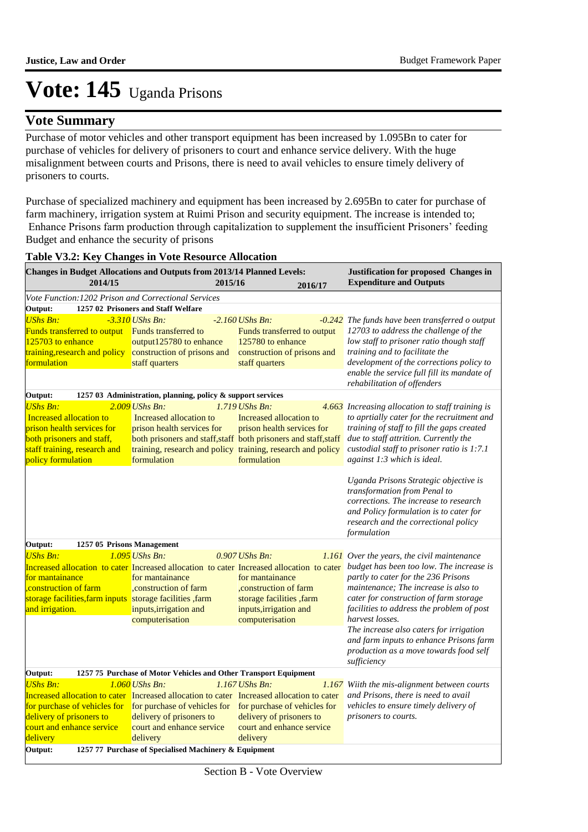### **Vote Summary**

Purchase of motor vehicles and other transport equipment has been increased by 1.095Bn to cater for purchase of vehicles for delivery of prisoners to court and enhance service delivery. With the huge misalignment between courts and Prisons, there is need to avail vehicles to ensure timely delivery of prisoners to courts.

Purchase of specialized machinery and equipment has been increased by 2.695Bn to cater for purchase of farm machinery, irrigation system at Ruimi Prison and security equipment. The increase is intended to; Enhance Prisons farm production through capitalization to supplement the insufficient Prisoners' feeding Budget and enhance the security of prisons

| Changes in Budget Allocations and Outputs from 2013/14 Planned Levels:                                                                                                                                            |                                                                                                                       |         |                                                                                                                                                                                                                            | Justification for proposed Changes in                                                                                                                                                                                                                                                                                                                                                                                                                                      |
|-------------------------------------------------------------------------------------------------------------------------------------------------------------------------------------------------------------------|-----------------------------------------------------------------------------------------------------------------------|---------|----------------------------------------------------------------------------------------------------------------------------------------------------------------------------------------------------------------------------|----------------------------------------------------------------------------------------------------------------------------------------------------------------------------------------------------------------------------------------------------------------------------------------------------------------------------------------------------------------------------------------------------------------------------------------------------------------------------|
| 2014/15                                                                                                                                                                                                           |                                                                                                                       | 2015/16 | 2016/17                                                                                                                                                                                                                    | <b>Expenditure and Outputs</b>                                                                                                                                                                                                                                                                                                                                                                                                                                             |
| Vote Function: 1202 Prison and Correctional Services                                                                                                                                                              |                                                                                                                       |         |                                                                                                                                                                                                                            |                                                                                                                                                                                                                                                                                                                                                                                                                                                                            |
| Output:                                                                                                                                                                                                           | 1257 02 Prisoners and Staff Welfare                                                                                   |         |                                                                                                                                                                                                                            |                                                                                                                                                                                                                                                                                                                                                                                                                                                                            |
| <b>UShs Bn:</b><br>Funds transferred to output Funds transferred to<br>125703 to enhance<br>training, research and policy<br>formulation                                                                          | $-3.310$ UShs Bn:<br>output125780 to enhance<br>construction of prisons and<br>staff quarters                         |         | $-2.160$ UShs Bn:<br>Funds transferred to output<br>125780 to enhance<br>construction of prisons and<br>staff quarters                                                                                                     | -0.242 The funds have been transferred o output<br>12703 to address the challenge of the<br>low staff to prisoner ratio though staff<br>training and to facilitate the<br>development of the corrections policy to<br>enable the service full fill its mandate of                                                                                                                                                                                                          |
|                                                                                                                                                                                                                   |                                                                                                                       |         |                                                                                                                                                                                                                            | rehabilitation of offenders                                                                                                                                                                                                                                                                                                                                                                                                                                                |
| Output:                                                                                                                                                                                                           | 1257 03 Administration, planning, policy & support services                                                           |         |                                                                                                                                                                                                                            |                                                                                                                                                                                                                                                                                                                                                                                                                                                                            |
| <b>UShs Bn:</b><br>Increased allocation to<br>prison health services for<br>both prisoners and staff,<br>staff training, research and<br>policy formulation                                                       | $2.009$ UShs Bn:<br>Increased allocation to<br>prison health services for<br>formulation                              |         | $1.719$ UShs Bn:<br>Increased allocation to<br>prison health services for<br>both prisoners and staff, staff both prisoners and staff, staff<br>training, research and policy training, research and policy<br>formulation | 4.663 Increasing allocation to staff training is<br>to aprtially cater for the recruitment and<br>training of staff to fill the gaps created<br>due to staff attrition. Currently the<br>custodial staff to prisoner ratio is 1:7.1<br>against 1:3 which is ideal.                                                                                                                                                                                                         |
|                                                                                                                                                                                                                   |                                                                                                                       |         |                                                                                                                                                                                                                            | Uganda Prisons Strategic objective is<br>transformation from Penal to<br>corrections. The increase to research<br>and Policy formulation is to cater for<br>research and the correctional policy<br>formulation                                                                                                                                                                                                                                                            |
| Output:<br>1257 05 Prisons Management                                                                                                                                                                             |                                                                                                                       |         |                                                                                                                                                                                                                            |                                                                                                                                                                                                                                                                                                                                                                                                                                                                            |
| <b>UShs Bn:</b>                                                                                                                                                                                                   | $1.095$ UShs Bn:                                                                                                      |         | 0.907 UShs Bn:                                                                                                                                                                                                             | <b>1.161</b> Over the years, the civil maintenance                                                                                                                                                                                                                                                                                                                                                                                                                         |
| for mantainance<br>construction of farm,<br>storage facilities, farm inputs storage facilities, farm<br>and irrigation.                                                                                           | for mantainance<br>, construction of farm<br>inputs, irrigation and<br>computerisation                                |         | for mantainance<br>, construction of farm<br>storage facilities , farm<br>inputs, irrigation and<br>computerisation                                                                                                        | Increased allocation to cater Increased allocation to cater Increased allocation to cater budget has been too low. The increase is<br>partly to cater for the 236 Prisons<br>maintenance; The increase is also to<br>cater for construction of farm storage<br>facilities to address the problem of post<br>harvest losses.<br>The increase also caters for irrigation<br>and farm inputs to enhance Prisons farm<br>production as a move towards food self<br>sufficiency |
| Output:                                                                                                                                                                                                           | 1257 75 Purchase of Motor Vehicles and Other Transport Equipment                                                      |         |                                                                                                                                                                                                                            |                                                                                                                                                                                                                                                                                                                                                                                                                                                                            |
| <b>UShs Bn:</b><br>Increased allocation to cater Increased allocation to cater Increased allocation to cater<br>for purchase of vehicles for<br>delivery of prisoners to<br>court and enhance service<br>delivery | $1.060$ UShs Bn:<br>for purchase of vehicles for<br>delivery of prisoners to<br>court and enhance service<br>delivery |         | $1.167$ UShs Bn:<br>for purchase of vehicles for<br>delivery of prisoners to<br>court and enhance service<br>delivery                                                                                                      | 1.167 Wiith the mis-alignment between courts<br>and Prisons, there is need to avail<br>vehicles to ensure timely delivery of<br>prisoners to courts.                                                                                                                                                                                                                                                                                                                       |
| Output:                                                                                                                                                                                                           | 1257 77 Purchase of Specialised Machinery & Equipment                                                                 |         |                                                                                                                                                                                                                            |                                                                                                                                                                                                                                                                                                                                                                                                                                                                            |

#### **Table V3.2: Key Changes in Vote Resource Allocation**

Section B - Vote Overview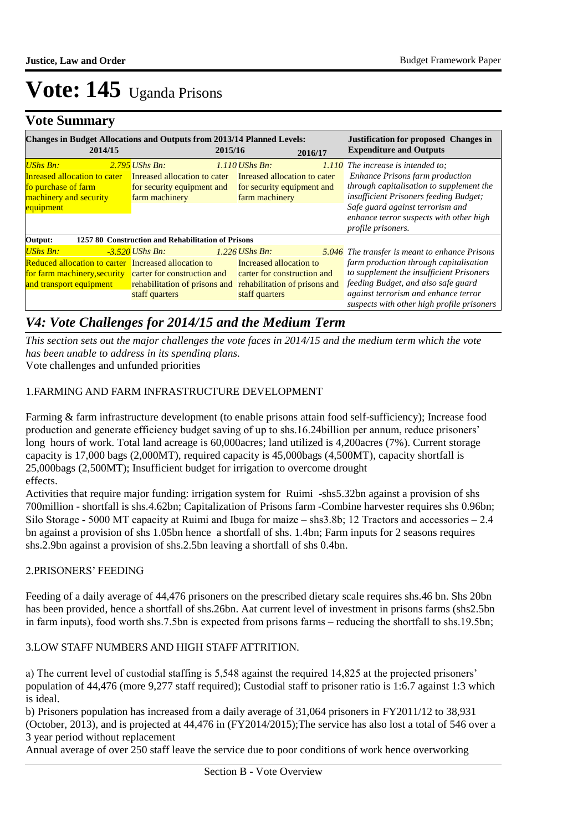### **Vote Summary**

| <b>Changes in Budget Allocations and Outputs from 2013/14 Planned Levels:</b><br>2014/15                                                                       |                                                                                                  | 2015/16                                                                                                                       | 2016/17 | <b>Justification for proposed Changes in</b><br><b>Expenditure and Outputs</b>                                                                                                                                                                                            |
|----------------------------------------------------------------------------------------------------------------------------------------------------------------|--------------------------------------------------------------------------------------------------|-------------------------------------------------------------------------------------------------------------------------------|---------|---------------------------------------------------------------------------------------------------------------------------------------------------------------------------------------------------------------------------------------------------------------------------|
| <b>UShs Bn:</b><br><b>Inreased allocation to cater</b><br>fo purchase of farm<br>machinery and security<br>equipment                                           | $2.795$ UShs Bn:<br>Inreased allocation to cater<br>for security equipment and<br>farm machinery | $1.110$ UShs Bn:<br>Inreased allocation to cater<br>for security equipment and<br>farm machinery                              |         | $1.110$ The increase is intended to:<br><b>Enhance Prisons farm production</b><br>through capitalisation to supplement the<br>insufficient Prisoners feeding Budget;<br>Safe guard against terrorism and<br>enhance terror suspects with other high<br>profile prisoners. |
| Output:                                                                                                                                                        | 1257 80 Construction and Rehabilitation of Prisons                                               |                                                                                                                               |         |                                                                                                                                                                                                                                                                           |
| UShs Bn:<br><b>Reduced allocation to carter</b> Increased allocation to<br>for farm machinery, security carter for construction and<br>and transport equipment | -3.520 UShs Bn:<br>rehabilitation of prisons and<br>staff quarters                               | $1.226$ UShs Bn:<br>Increased allocation to<br>carter for construction and<br>rehabilitation of prisons and<br>staff quarters |         | 5.046 The transfer is meant to enhance Prisons<br>farm production through capitalisation<br>to supplement the insufficient Prisoners<br>feeding Budget, and also safe guard<br>against terrorism and enhance terror<br>suspects with other high profile prisoners         |

### *V4: Vote Challenges for 2014/15 and the Medium Term*

Vote challenges and unfunded priorities *This section sets out the major challenges the vote faces in 2014/15 and the medium term which the vote has been unable to address in its spending plans.*

#### 1. FARMING AND FARM INFRASTRUCTURE DEVELOPMENT

Farming & farm infrastructure development (to enable prisons attain food self-sufficiency); Increase food production and generate efficiency budget saving of up to shs.16.24billion per annum, reduce prisoners' long hours of work. Total land acreage is 60,000 acres; land utilized is 4,200 acres (7%). Current storage capacity is 17,000 bags (2,000MT), required capacity is 45,000bags (4,500MT), capacity shortfall is 25,000bags (2,500MT); Insufficient budget for irrigation to overcome drought effects.

Activities that require major funding: irrigation system for Ruimi -shs5.32bn against a provision of shs 700million - shortfall is shs.4.62bn; Capitalization of Prisons farm -Combine harvester requires shs 0.96bn; Silo Storage - 5000 MT capacity at Ruimi and Ibuga for maize – shs3.8b; 12 Tractors and accessories – 2.4 bn against a provision of shs 1.05bn hence a shortfall of shs. 1.4bn; Farm inputs for 2 seasons requires shs.2.9bn against a provision of shs.2.5bn leaving a shortfall of shs 0.4bn.

#### 2. PRISONERS' FEEDING

Feeding of a daily average of 44,476 prisoners on the prescribed dietary scale requires shs.46 bn. Shs 20bn has been provided, hence a shortfall of shs.26bn. Aat current level of investment in prisons farms (shs2.5bn in farm inputs), food worth shs.7.5bn is expected from prisons farms – reducing the shortfall to shs.19.5bn;

#### 3. LOW STAFF NUMBERS AND HIGH STAFF ATTRITION.

a) The current level of custodial staffing is 5,548 against the required 14,825 at the projected prisoners' population of 44,476 (more 9,277 staff required); Custodial staff to prisoner ratio is 1:6.7 against 1:3 which is ideal.

b) Prisoners population has increased from a daily average of 31,064 prisoners in FY2011/12 to 38,931 (October, 2013), and is projected at 44,476 in (FY2014/2015);The service has also lost a total of 546 over a 3 year period without replacement

Annual average of over 250 staff leave the service due to poor conditions of work hence overworking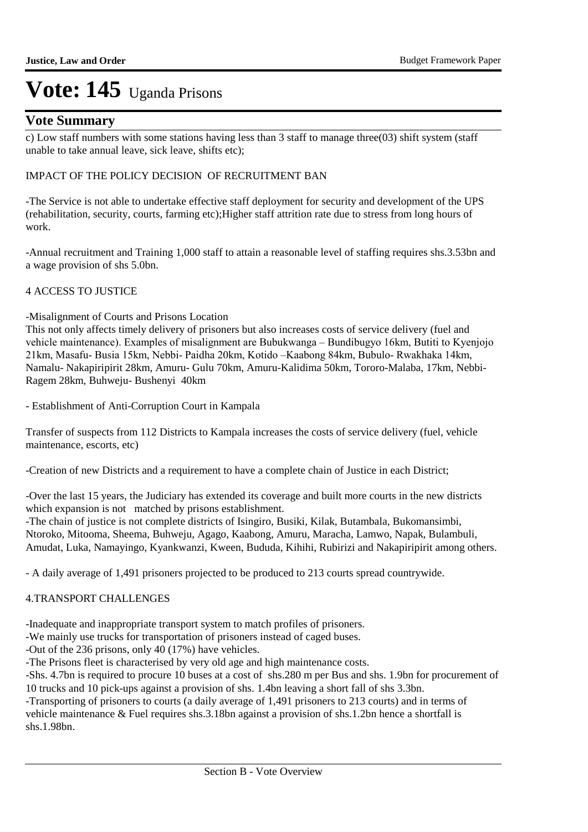### **Vote Summary**

c) Low staff numbers with some stations having less than 3 staff to manage three(03) shift system (staff unable to take annual leave, sick leave, shifts etc);

#### IMPACT OF THE POLICY DECISION OF RECRUITMENT BAN

-The Service is not able to undertake effective staff deployment for security and development of the UPS (rehabilitation, security, courts, farming etc);Higher staff attrition rate due to stress from long hours of work.

-Annual recruitment and Training 1,000 staff to attain a reasonable level of staffing requires shs.3.53bn and a wage provision of shs 5.0bn.

#### 4 ACCESS TO JUSTICE

#### -Misalignment of Courts and Prisons Location

This not only affects timely delivery of prisoners but also increases costs of service delivery (fuel and vehicle maintenance). Examples of misalignment are Bubukwanga – Bundibugyo 16km, Butiti to Kyenjojo 21km, Masafu- Busia 15km, Nebbi- Paidha 20km, Kotido –Kaabong 84km, Bubulo- Rwakhaka 14km, Namalu- Nakapiripirit 28km, Amuru- Gulu 70km, Amuru-Kalidima 50km, Tororo-Malaba, 17km, Nebbi-Ragem 28km, Buhweju- Bushenyi 40km

- Establishment of Anti-Corruption Court in Kampala

Transfer of suspects from 112 Districts to Kampala increases the costs of service delivery (fuel, vehicle maintenance, escorts, etc)

-Creation of new Districts and a requirement to have a complete chain of Justice in each District;

-Over the last 15 years, the Judiciary has extended its coverage and built more courts in the new districts which expansion is not matched by prisons establishment.

-The chain of justice is not complete districts of Isingiro, Busiki, Kilak, Butambala, Bukomansimbi, Ntoroko, Mitooma, Sheema, Buhweju, Agago, Kaabong, Amuru, Maracha, Lamwo, Napak, Bulambuli, Amudat, Luka, Namayingo, Kyankwanzi, Kween, Bududa, Kihihi, Rubirizi and Nakapiripirit among others.

- A daily average of 1,491 prisoners projected to be produced to 213 courts spread countrywide.

#### **4.TRANSPORT CHALLENGES**

-Inadequate and inappropriate transport system to match profiles of prisoners.

-We mainly use trucks for transportation of prisoners instead of caged buses.

-Out of the 236 prisons, only 40 (17%) have vehicles.

-The Prisons fleet is characterised by very old age and high maintenance costs.

-Shs. 4.7bn is required to procure 10 buses at a cost of shs.280 m per Bus and shs. 1.9bn for procurement of 10 trucks and 10 pick-ups against a provision of shs. 1.4bn leaving a short fall of shs 3.3bn.

-Transporting of prisoners to courts (a daily average of 1,491 prisoners to 213 courts) and in terms of vehicle maintenance & Fuel requires shs.3.18bn against a provision of shs.1.2bn hence a shortfall is shs.1.98bn.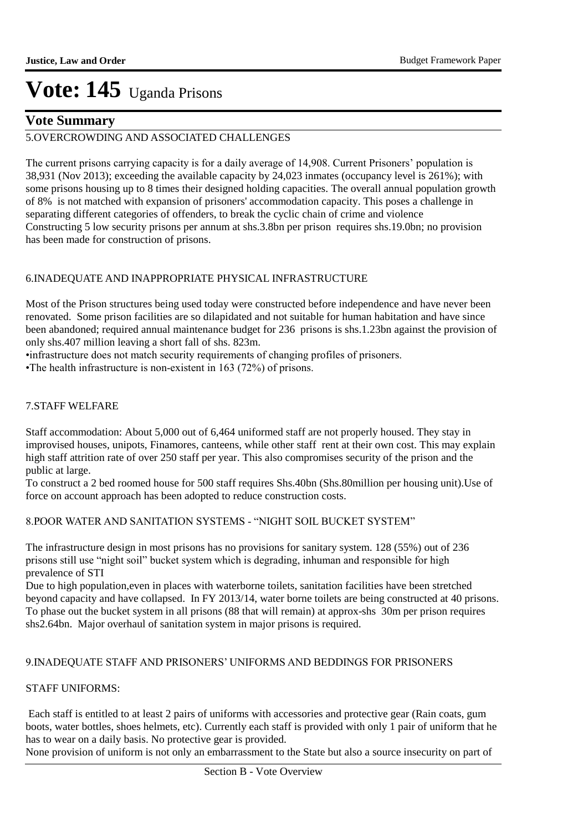### **Vote Summary**

### 5. OVERCROWDING AND ASSOCIATED CHALLENGES

The current prisons carrying capacity is for a daily average of 14,908. Current Prisoners' population is 38,931 (Nov 2013); exceeding the available capacity by 24,023 inmates (occupancy level is 261%); with some prisons housing up to 8 times their designed holding capacities. The overall annual population growth of 8% is not matched with expansion of prisoners' accommodation capacity. This poses a challenge in separating different categories of offenders, to break the cyclic chain of crime and violence Constructing 5 low security prisons per annum at shs.3.8bn per prison requires shs.19.0bn; no provision has been made for construction of prisons.

#### 6. INADEQUATE AND INAPPROPRIATE PHYSICAL INFRASTRUCTURE

Most of the Prison structures being used today were constructed before independence and have never been renovated. Some prison facilities are so dilapidated and not suitable for human habitation and have since been abandoned; required annual maintenance budget for 236 prisons is shs.1.23bn against the provision of only shs.407 million leaving a short fall of shs. 823m.

•infrastructure does not match security requirements of changing profiles of prisoners.

•The health infrastructure is non-existent in 163 (72%) of prisons.

#### 7. STAFF WELFARE

Staff accommodation: About 5,000 out of 6,464 uniformed staff are not properly housed. They stay in improvised houses, unipots, Finamores, canteens, while other staff rent at their own cost. This may explain high staff attrition rate of over 250 staff per year. This also compromises security of the prison and the public at large.

To construct a 2 bed roomed house for 500 staff requires Shs.40bn (Shs.80million per housing unit).Use of force on account approach has been adopted to reduce construction costs.

#### 8. POOR WATER AND SANITATION SYSTEMS - "NIGHT SOIL BUCKET SYSTEM"

The infrastructure design in most prisons has no provisions for sanitary system. 128 (55%) out of 236 prisons still use "night soil" bucket system which is degrading, inhuman and responsible for high prevalence of STI

Due to high population,even in places with waterborne toilets, sanitation facilities have been stretched beyond capacity and have collapsed. In FY 2013/14, water borne toilets are being constructed at 40 prisons. To phase out the bucket system in all prisons (88 that will remain) at approx-shs 30m per prison requires shs2.64bn. Major overhaul of sanitation system in major prisons is required.

#### 9. INADEQUATE STAFF AND PRISONERS' UNIFORMS AND BEDDINGS FOR PRISONERS

#### STAFF UNIFORMS:

 Each staff is entitled to at least 2 pairs of uniforms with accessories and protective gear (Rain coats, gum boots, water bottles, shoes helmets, etc). Currently each staff is provided with only 1 pair of uniform that he has to wear on a daily basis. No protective gear is provided.

None provision of uniform is not only an embarrassment to the State but also a source insecurity on part of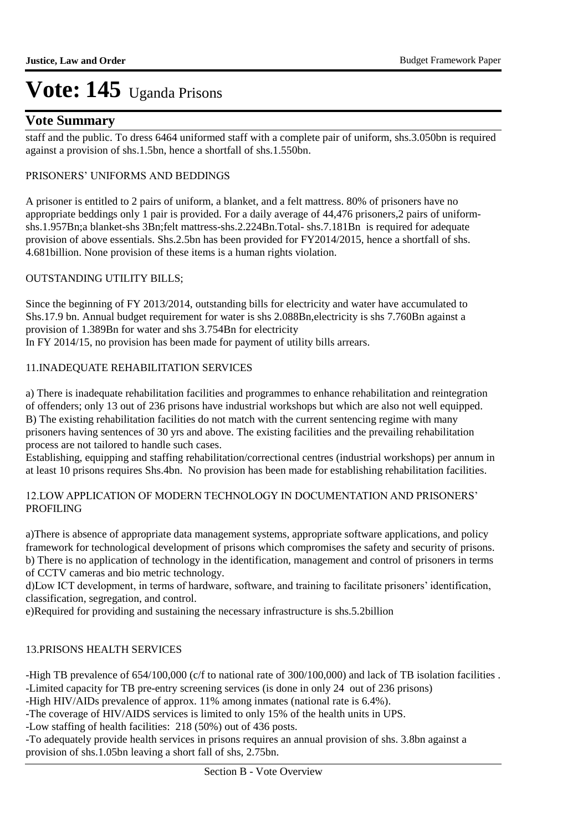### **Vote Summary**

staff and the public. To dress 6464 uniformed staff with a complete pair of uniform, shs.3.050bn is required against a provision of shs.1.5bn, hence a shortfall of shs.1.550bn.

#### PRISONERS' UNIFORMS AND BEDDINGS

A prisoner is entitled to 2 pairs of uniform, a blanket, and a felt mattress. 80% of prisoners have no appropriate beddings only 1 pair is provided. For a daily average of 44,476 prisoners,2 pairs of uniformshs.1.957Bn;a blanket-shs 3Bn;felt mattress-shs.2.224Bn.Total- shs.7.181Bn is required for adequate provision of above essentials. Shs.2.5bn has been provided for FY2014/2015, hence a shortfall of shs. 4.681billion. None provision of these items is a human rights violation.

#### OUTSTANDING UTILITY BILLS;

Since the beginning of FY 2013/2014, outstanding bills for electricity and water have accumulated to Shs.17.9 bn. Annual budget requirement for water is shs 2.088Bn,electricity is shs 7.760Bn against a provision of 1.389Bn for water and shs 3.754Bn for electricity In FY 2014/15, no provision has been made for payment of utility bills arrears.

#### 11. INADEQUATE REHABILITATION SERVICES

a) There is inadequate rehabilitation facilities and programmes to enhance rehabilitation and reintegration of offenders; only 13 out of 236 prisons have industrial workshops but which are also not well equipped. B) The existing rehabilitation facilities do not match with the current sentencing regime with many prisoners having sentences of 30 yrs and above. The existing facilities and the prevailing rehabilitation process are not tailored to handle such cases.

Establishing, equipping and staffing rehabilitation/correctional centres (industrial workshops) per annum in at least 10 prisons requires Shs.4bn. No provision has been made for establishing rehabilitation facilities.

#### 12. LOW APPLICATION OF MODERN TECHNOLOGY IN DOCUMENTATION AND PRISONERS' PROFILING

a) There is absence of appropriate data management systems, appropriate software applications, and policy framework for technological development of prisons which compromises the safety and security of prisons. b) There is no application of technology in the identification, management and control of prisoners in terms of CCTV cameras and bio metric technology.

d) Low ICT development, in terms of hardware, software, and training to facilitate prisoners' identification, classification, segregation, and control.

e)Required for providing and sustaining the necessary infrastructure is shs.5.2billion

#### 13. PRISONS HEALTH SERVICES

-High TB prevalence of 654/100,000 (c/f to national rate of 300/100,000) and lack of TB isolation facilities . -Limited capacity for TB pre-entry screening services (is done in only 24 out of 236 prisons)

-High HIV/AIDs prevalence of approx. 11% among inmates (national rate is 6.4%).

-The coverage of HIV/AIDS services is limited to only 15% of the health units in UPS.

-Low staffing of health facilities: 218 (50%) out of 436 posts.

-To adequately provide health services in prisons requires an annual provision of shs. 3.8bn against a provision of shs.1.05bn leaving a short fall of shs, 2.75bn.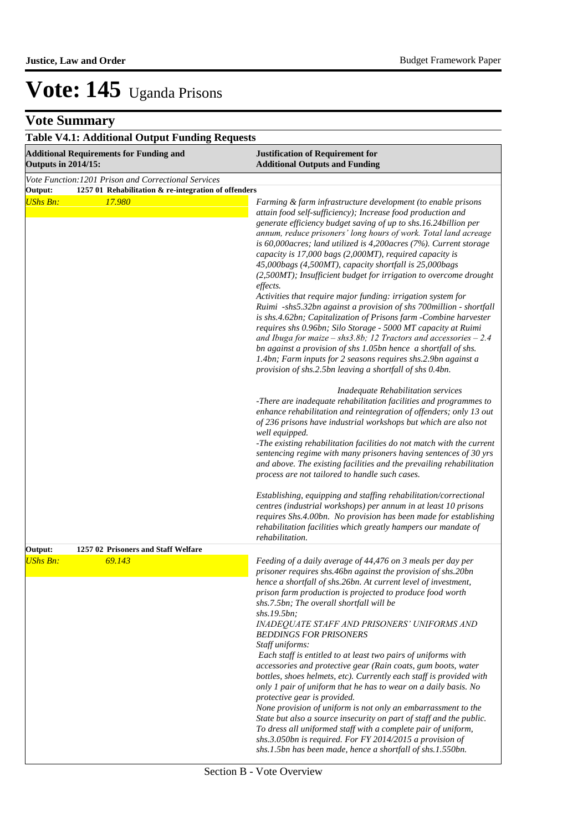| <b>Table V4.1: Additional Output Funding Requests</b>                                        |                                                                                                                                                                                                                                                                                                                                                                                                                                                                                                                                                                                                                                                                                                                                                                                                                                                                                                                                                                                                                                                                                                                                                                                                                                                                                      |  |  |  |  |
|----------------------------------------------------------------------------------------------|--------------------------------------------------------------------------------------------------------------------------------------------------------------------------------------------------------------------------------------------------------------------------------------------------------------------------------------------------------------------------------------------------------------------------------------------------------------------------------------------------------------------------------------------------------------------------------------------------------------------------------------------------------------------------------------------------------------------------------------------------------------------------------------------------------------------------------------------------------------------------------------------------------------------------------------------------------------------------------------------------------------------------------------------------------------------------------------------------------------------------------------------------------------------------------------------------------------------------------------------------------------------------------------|--|--|--|--|
| <b>Additional Requirements for Funding and</b><br><b>Outputs in 2014/15:</b>                 | <b>Justification of Requirement for</b><br><b>Additional Outputs and Funding</b>                                                                                                                                                                                                                                                                                                                                                                                                                                                                                                                                                                                                                                                                                                                                                                                                                                                                                                                                                                                                                                                                                                                                                                                                     |  |  |  |  |
| Vote Function: 1201 Prison and Correctional Services                                         |                                                                                                                                                                                                                                                                                                                                                                                                                                                                                                                                                                                                                                                                                                                                                                                                                                                                                                                                                                                                                                                                                                                                                                                                                                                                                      |  |  |  |  |
| Output:<br>1257 01 Rehabilitation & re-integration of offenders<br><b>UShs Bn:</b><br>17.980 | Farming & farm infrastructure development (to enable prisons<br>attain food self-sufficiency); Increase food production and<br>generate efficiency budget saving of up to shs.16.24 billion per<br>annum, reduce prisoners' long hours of work. Total land acreage<br>is $60,000$ acres; land utilized is $4,200$ acres (7%). Current storage<br>capacity is 17,000 bags (2,000MT), required capacity is<br>45,000bags (4,500MT), capacity shortfall is 25,000bags<br>(2,500MT); Insufficient budget for irrigation to overcome drought<br>effects.<br>Activities that require major funding: irrigation system for<br>Ruimi -shs5.32bn against a provision of shs 700million - shortfall<br>is shs.4.62bn; Capitalization of Prisons farm - Combine harvester<br>requires shs 0.96bn; Silo Storage - 5000 MT capacity at Ruimi<br>and Ibuga for maize - shs3.8b; 12 Tractors and accessories $-2.4$<br>bn against a provision of shs 1.05bn hence a shortfall of shs.<br>1.4bn; Farm inputs for 2 seasons requires shs.2.9bn against a<br>provision of shs.2.5bn leaving a shortfall of shs 0.4bn.<br>Inadequate Rehabilitation services<br>-There are inadequate rehabilitation facilities and programmes to<br>enhance rehabilitation and reintegration of offenders; only 13 out |  |  |  |  |
|                                                                                              | of 236 prisons have industrial workshops but which are also not<br>well equipped.<br>-The existing rehabilitation facilities do not match with the current<br>sentencing regime with many prisoners having sentences of 30 yrs<br>and above. The existing facilities and the prevailing rehabilitation<br>process are not tailored to handle such cases.<br>Establishing, equipping and staffing rehabilitation/correctional<br>centres (industrial workshops) per annum in at least 10 prisons<br>requires Shs.4.00bn. No provision has been made for establishing<br>rehabilitation facilities which greatly hampers our mandate of                                                                                                                                                                                                                                                                                                                                                                                                                                                                                                                                                                                                                                                |  |  |  |  |
|                                                                                              | rehabilitation.                                                                                                                                                                                                                                                                                                                                                                                                                                                                                                                                                                                                                                                                                                                                                                                                                                                                                                                                                                                                                                                                                                                                                                                                                                                                      |  |  |  |  |
| 1257 02 Prisoners and Staff Welfare<br>Output:<br><b>UShs Bn:</b><br>69.143                  | Feeding of a daily average of 44,476 on 3 meals per day per<br>prisoner requires shs.46bn against the provision of shs.20bn<br>hence a shortfall of shs.26bn. At current level of investment,<br>prison farm production is projected to produce food worth<br>shs.7.5bn; The overall shortfall will be<br>shs.19.5bn;<br>INADEQUATE STAFF AND PRISONERS' UNIFORMS AND<br><b>BEDDINGS FOR PRISONERS</b><br>Staff uniforms:<br>Each staff is entitled to at least two pairs of uniforms with<br>accessories and protective gear (Rain coats, gum boots, water<br>bottles, shoes helmets, etc). Currently each staff is provided with<br>only 1 pair of uniform that he has to wear on a daily basis. No<br>protective gear is provided.<br>None provision of uniform is not only an embarrassment to the<br>State but also a source insecurity on part of staff and the public.<br>To dress all uniformed staff with a complete pair of uniform,<br>shs.3.050bn is required. For FY 2014/2015 a provision of<br>shs.1.5bn has been made, hence a shortfall of shs.1.550bn.                                                                                                                                                                                                             |  |  |  |  |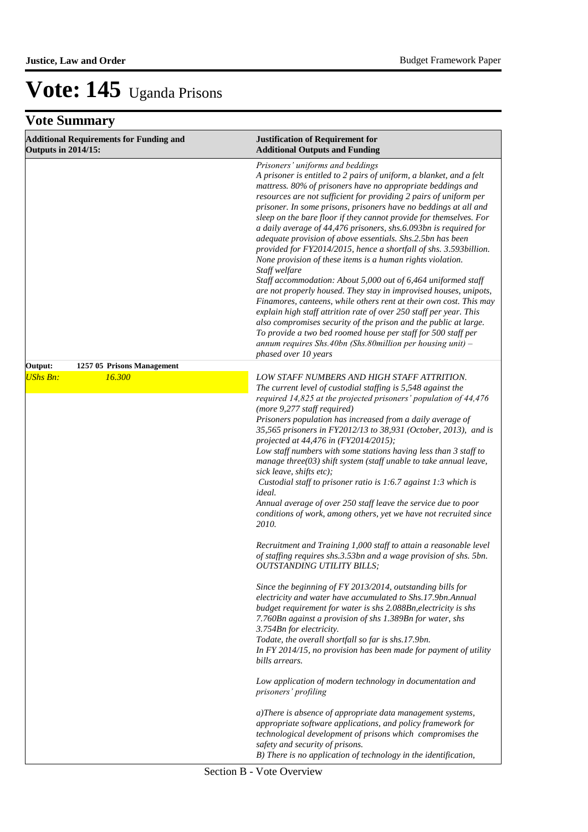| <b>Additional Requirements for Funding and</b><br><b>Outputs in 2014/15:</b> | <b>Justification of Requirement for</b><br><b>Additional Outputs and Funding</b>                                                                                                                                                                                                                                                                                                                                                                                                                                                                                                                                                                                                                                                                                                                                                                                                                                                                                                                                                                                                                                                                                                           |  |  |
|------------------------------------------------------------------------------|--------------------------------------------------------------------------------------------------------------------------------------------------------------------------------------------------------------------------------------------------------------------------------------------------------------------------------------------------------------------------------------------------------------------------------------------------------------------------------------------------------------------------------------------------------------------------------------------------------------------------------------------------------------------------------------------------------------------------------------------------------------------------------------------------------------------------------------------------------------------------------------------------------------------------------------------------------------------------------------------------------------------------------------------------------------------------------------------------------------------------------------------------------------------------------------------|--|--|
|                                                                              | Prisoners' uniforms and beddings<br>A prisoner is entitled to 2 pairs of uniform, a blanket, and a felt<br>mattress. 80% of prisoners have no appropriate beddings and<br>resources are not sufficient for providing 2 pairs of uniform per<br>prisoner. In some prisons, prisoners have no beddings at all and<br>sleep on the bare floor if they cannot provide for themselves. For<br>a daily average of 44,476 prisoners, shs.6.093bn is required for<br>adequate provision of above essentials. Shs.2.5bn has been<br>provided for FY2014/2015, hence a shortfall of shs. 3.593billion.<br>None provision of these items is a human rights violation.<br>Staff welfare<br>Staff accommodation: About 5,000 out of 6,464 uniformed staff<br>are not properly housed. They stay in improvised houses, unipots,<br>Finamores, canteens, while others rent at their own cost. This may<br>explain high staff attrition rate of over 250 staff per year. This<br>also compromises security of the prison and the public at large.<br>To provide a two bed roomed house per staff for 500 staff per<br>annum requires Shs.40bn (Shs.80million per housing unit) $-$<br>phased over 10 years |  |  |
| Output:<br>1257 05 Prisons Management                                        |                                                                                                                                                                                                                                                                                                                                                                                                                                                                                                                                                                                                                                                                                                                                                                                                                                                                                                                                                                                                                                                                                                                                                                                            |  |  |
| <b>UShs Bn:</b><br>16.300                                                    | LOW STAFF NUMBERS AND HIGH STAFF ATTRITION.<br>The current level of custodial staffing is 5,548 against the<br>required 14,825 at the projected prisoners' population of 44,476<br>(more 9,277 staff required)<br>Prisoners population has increased from a daily average of<br>35,565 prisoners in FY2012/13 to 38,931 (October, 2013), and is<br>projected at 44,476 in (FY2014/2015);<br>Low staff numbers with some stations having less than 3 staff to<br>manage three( $03$ ) shift system (staff unable to take annual leave,<br>sick leave, shifts etc);<br>Custodial staff to prisoner ratio is 1:6.7 against 1:3 which is<br>ideal.<br>Annual average of over 250 staff leave the service due to poor<br>conditions of work, among others, yet we have not recruited since<br>2010.<br>Recruitment and Training 1,000 staff to attain a reasonable level<br>of staffing requires shs.3.53bn and a wage provision of shs. 5bn.<br><b>OUTSTANDING UTILITY BILLS;</b>                                                                                                                                                                                                              |  |  |
|                                                                              | Since the beginning of FY 2013/2014, outstanding bills for<br>electricity and water have accumulated to Shs.17.9bn.Annual<br>budget requirement for water is shs 2.088Bn, electricity is shs<br>7.760Bn against a provision of shs 1.389Bn for water, shs<br>3.754Bn for electricity.<br>Todate, the overall shortfall so far is shs.17.9bn.<br>In FY 2014/15, no provision has been made for payment of utility<br>bills arrears.<br>Low application of modern technology in documentation and<br>prisoners' profiling<br>a)There is absence of appropriate data management systems,<br>appropriate software applications, and policy framework for<br>technological development of prisons which compromises the<br>safety and security of prisons.                                                                                                                                                                                                                                                                                                                                                                                                                                      |  |  |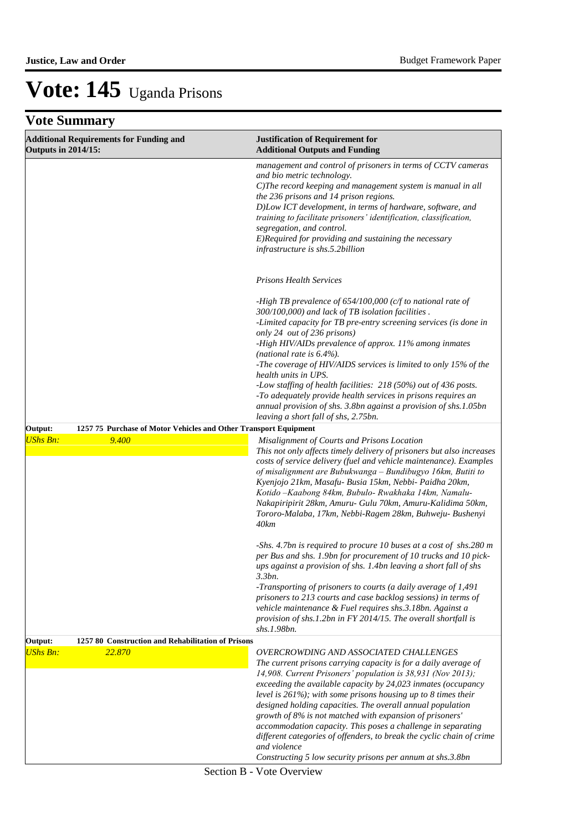| <b>Outputs in 2014/15:</b> | <b>Additional Requirements for Funding and</b>                   | <b>Justification of Requirement for</b><br><b>Additional Outputs and Funding</b>                                                                                                                                                                                                                                                                                                                                                                                                                                                                                                                                                                                                                                                                                                                                                                                                                                                                                                                                          |
|----------------------------|------------------------------------------------------------------|---------------------------------------------------------------------------------------------------------------------------------------------------------------------------------------------------------------------------------------------------------------------------------------------------------------------------------------------------------------------------------------------------------------------------------------------------------------------------------------------------------------------------------------------------------------------------------------------------------------------------------------------------------------------------------------------------------------------------------------------------------------------------------------------------------------------------------------------------------------------------------------------------------------------------------------------------------------------------------------------------------------------------|
|                            |                                                                  | management and control of prisoners in terms of CCTV cameras<br>and bio metric technology.<br>C)The record keeping and management system is manual in all<br>the 236 prisons and 14 prison regions.<br>D)Low ICT development, in terms of hardware, software, and<br>training to facilitate prisoners' identification, classification,<br>segregation, and control.<br>E)Required for providing and sustaining the necessary<br>infrastructure is shs.5.2billion                                                                                                                                                                                                                                                                                                                                                                                                                                                                                                                                                          |
|                            |                                                                  | <b>Prisons Health Services</b>                                                                                                                                                                                                                                                                                                                                                                                                                                                                                                                                                                                                                                                                                                                                                                                                                                                                                                                                                                                            |
|                            |                                                                  | -High TB prevalence of $654/100,000$ (c/f to national rate of<br>300/100,000) and lack of TB isolation facilities.<br>-Limited capacity for TB pre-entry screening services (is done in<br>only 24 out of 236 prisons)<br>-High HIV/AIDs prevalence of approx. 11% among inmates<br>(national rate is $6.4\%$ ).<br>-The coverage of HIV/AIDS services is limited to only 15% of the<br>health units in UPS.<br>-Low staffing of health facilities: 218 (50%) out of 436 posts.<br>-To adequately provide health services in prisons requires an<br>annual provision of shs. 3.8bn against a provision of shs.1.05bn<br>leaving a short fall of shs, 2.75bn.                                                                                                                                                                                                                                                                                                                                                              |
| Output:                    | 1257 75 Purchase of Motor Vehicles and Other Transport Equipment |                                                                                                                                                                                                                                                                                                                                                                                                                                                                                                                                                                                                                                                                                                                                                                                                                                                                                                                                                                                                                           |
| <b>UShs Bn:</b><br>Output: | 9.400<br>1257 80 Construction and Rehabilitation of Prisons      | Misalignment of Courts and Prisons Location<br>This not only affects timely delivery of prisoners but also increases<br>costs of service delivery (fuel and vehicle maintenance). Examples<br>of misalignment are Bubukwanga - Bundibugyo 16km, Butiti to<br>Kyenjojo 21km, Masafu- Busia 15km, Nebbi- Paidha 20km,<br>Kotido - Kaabong 84km, Bubulo- Rwakhaka 14km, Namalu-<br>Nakapiripirit 28km, Amuru- Gulu 70km, Amuru-Kalidima 50km,<br>Tororo-Malaba, 17km, Nebbi-Ragem 28km, Buhweju- Bushenyi<br>40km<br>-Shs. 4.7bn is required to procure 10 buses at a cost of shs.280 m<br>per Bus and shs. 1.9bn for procurement of 10 trucks and 10 pick-<br>ups against a provision of shs. 1.4bn leaving a short fall of shs<br>3.3bn.<br>-Transporting of prisoners to courts (a daily average of 1,491<br>prisoners to 213 courts and case backlog sessions) in terms of<br>vehicle maintenance & Fuel requires shs.3.18bn. Against a<br>provision of shs.1.2bn in FY 2014/15. The overall shortfall is<br>shs.1.98bn. |
| <b>UShs Bn:</b>            | 22.870                                                           | <b>OVERCROWDING AND ASSOCIATED CHALLENGES</b>                                                                                                                                                                                                                                                                                                                                                                                                                                                                                                                                                                                                                                                                                                                                                                                                                                                                                                                                                                             |
|                            |                                                                  | The current prisons carrying capacity is for a daily average of<br>14,908. Current Prisoners' population is 38,931 (Nov 2013);<br>exceeding the available capacity by 24,023 inmates (occupancy<br>level is $261\%$ ); with some prisons housing up to 8 times their<br>designed holding capacities. The overall annual population<br>growth of 8% is not matched with expansion of prisoners'<br>accommodation capacity. This poses a challenge in separating<br>different categories of offenders, to break the cyclic chain of crime<br>and violence<br>Constructing 5 low security prisons per annum at shs.3.8bn                                                                                                                                                                                                                                                                                                                                                                                                     |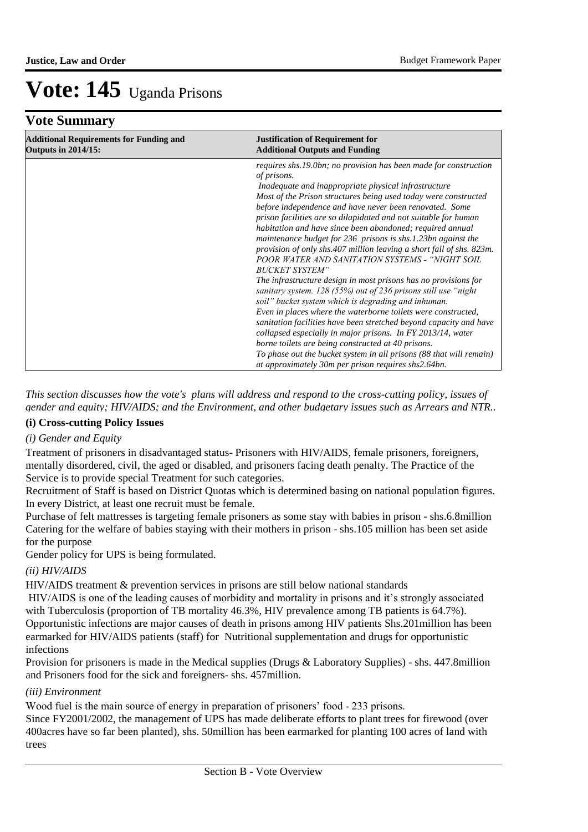### **Vote Summary**

| <b>Additional Requirements for Funding and</b><br><b>Outputs in 2014/15:</b> | <b>Justification of Requirement for</b><br><b>Additional Outputs and Funding</b>                                                                                                                                                                                                                                                                                                                                                                                                                                                                                                                                                                                                                                                                                                                                                                                                                                                                                                                                                                                                   |
|------------------------------------------------------------------------------|------------------------------------------------------------------------------------------------------------------------------------------------------------------------------------------------------------------------------------------------------------------------------------------------------------------------------------------------------------------------------------------------------------------------------------------------------------------------------------------------------------------------------------------------------------------------------------------------------------------------------------------------------------------------------------------------------------------------------------------------------------------------------------------------------------------------------------------------------------------------------------------------------------------------------------------------------------------------------------------------------------------------------------------------------------------------------------|
|                                                                              | requires shs.19.0bn; no provision has been made for construction<br>of prisons.<br>Inadequate and inappropriate physical infrastructure<br>Most of the Prison structures being used today were constructed<br>before independence and have never been renovated. Some<br>prison facilities are so dilapidated and not suitable for human<br>habitation and have since been abandoned; required annual<br>maintenance budget for 236 prisons is shs.1.23bn against the<br>provision of only shs.407 million leaving a short fall of shs. 823m.<br>POOR WATER AND SANITATION SYSTEMS - "NIGHT SOIL<br><b>BUCKET SYSTEM"</b><br>The infrastructure design in most prisons has no provisions for<br>sanitary system. 128 (55%) out of 236 prisons still use "night"<br>soil" bucket system which is degrading and inhuman.<br>Even in places where the waterborne toilets were constructed,<br>sanitation facilities have been stretched beyond capacity and have<br>collapsed especially in major prisons. In FY 2013/14, water<br>borne toilets are being constructed at 40 prisons. |
|                                                                              | To phase out the bucket system in all prisons (88 that will remain)<br>at approximately 30m per prison requires shs2.64bn.                                                                                                                                                                                                                                                                                                                                                                                                                                                                                                                                                                                                                                                                                                                                                                                                                                                                                                                                                         |

*This section discusses how the vote's plans will address and respond to the cross-cutting policy, issues of gender and equity; HIV/AIDS; and the Environment, and other budgetary issues such as Arrears and NTR..* 

#### **(i) Cross-cutting Policy Issues**

#### *(i) Gender and Equity*

Treatment of prisoners in disadvantaged status- Prisoners with HIV/AIDS, female prisoners, foreigners, mentally disordered, civil, the aged or disabled, and prisoners facing death penalty. The Practice of the Service is to provide special Treatment for such categories.

Recruitment of Staff is based on District Quotas which is determined basing on national population figures. In every District, at least one recruit must be female.

Purchase of felt mattresses is targeting female prisoners as some stay with babies in prison - shs.6.8million Catering for the welfare of babies staying with their mothers in prison - shs.105 million has been set aside for the purpose

Gender policy for UPS is being formulated.

#### *(ii) HIV/AIDS*

HIV/AIDS treatment & prevention services in prisons are still below national standards

 HIV/AIDS is one of the leading causes of morbidity and mortality in prisons and it's strongly associated with Tuberculosis (proportion of TB mortality 46.3%, HIV prevalence among TB patients is 64.7%). Opportunistic infections are major causes of death in prisons among HIV patients Shs.201million has been earmarked for HIV/AIDS patients (staff) for Nutritional supplementation and drugs for opportunistic infections

Provision for prisoners is made in the Medical supplies (Drugs & Laboratory Supplies) - shs. 447.8million and Prisoners food for the sick and foreigners- shs. 457million.

#### *(iii) Environment*

Wood fuel is the main source of energy in preparation of prisoners' food - 233 prisons.

Since FY2001/2002, the management of UPS has made deliberate efforts to plant trees for firewood (over 400acres have so far been planted), shs. 50million has been earmarked for planting 100 acres of land with trees